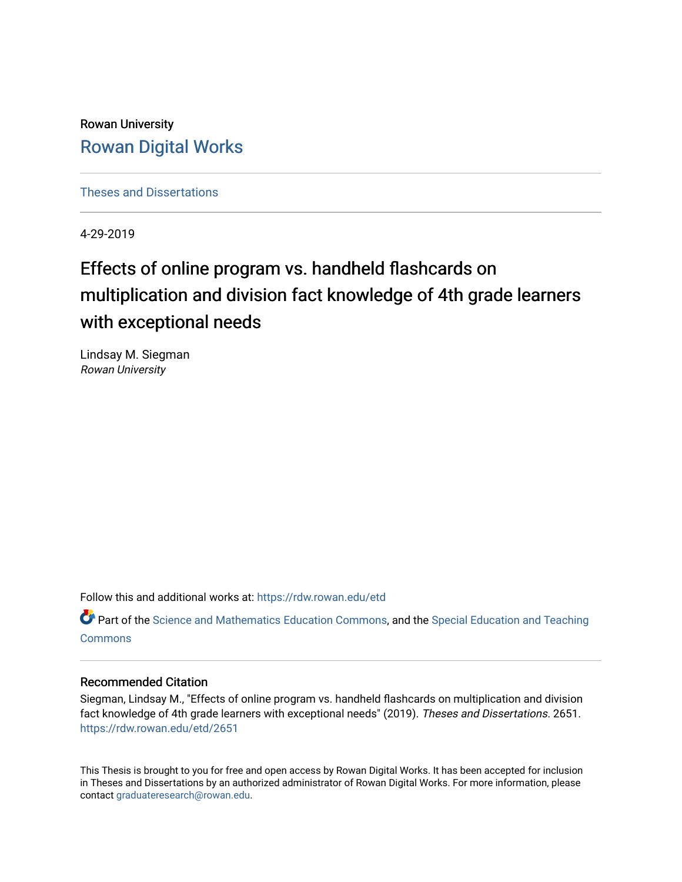Rowan University [Rowan Digital Works](https://rdw.rowan.edu/)

[Theses and Dissertations](https://rdw.rowan.edu/etd)

4-29-2019

# Effects of online program vs. handheld flashcards on multiplication and division fact knowledge of 4th grade learners with exceptional needs

Lindsay M. Siegman Rowan University

Follow this and additional works at: [https://rdw.rowan.edu/etd](https://rdw.rowan.edu/etd?utm_source=rdw.rowan.edu%2Fetd%2F2651&utm_medium=PDF&utm_campaign=PDFCoverPages) 

Part of the [Science and Mathematics Education Commons,](http://network.bepress.com/hgg/discipline/800?utm_source=rdw.rowan.edu%2Fetd%2F2651&utm_medium=PDF&utm_campaign=PDFCoverPages) and the Special Education and Teaching **[Commons](http://network.bepress.com/hgg/discipline/801?utm_source=rdw.rowan.edu%2Fetd%2F2651&utm_medium=PDF&utm_campaign=PDFCoverPages)** 

#### Recommended Citation

Siegman, Lindsay M., "Effects of online program vs. handheld flashcards on multiplication and division fact knowledge of 4th grade learners with exceptional needs" (2019). Theses and Dissertations. 2651. [https://rdw.rowan.edu/etd/2651](https://rdw.rowan.edu/etd/2651?utm_source=rdw.rowan.edu%2Fetd%2F2651&utm_medium=PDF&utm_campaign=PDFCoverPages)

This Thesis is brought to you for free and open access by Rowan Digital Works. It has been accepted for inclusion in Theses and Dissertations by an authorized administrator of Rowan Digital Works. For more information, please contact [graduateresearch@rowan.edu.](mailto:graduateresearch@rowan.edu)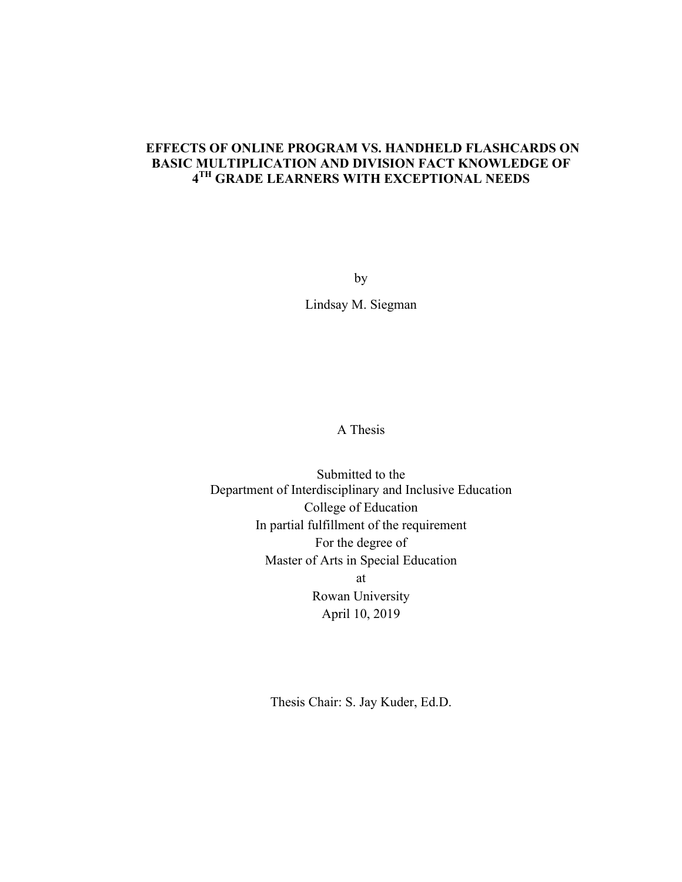## **EFFECTS OF ONLINE PROGRAM VS. HANDHELD FLASHCARDS ON BASIC MULTIPLICATION AND DIVISION FACT KNOWLEDGE OF 4TH GRADE LEARNERS WITH EXCEPTIONAL NEEDS**

by Lindsay M. Siegman

A Thesis

Submitted to the Department of Interdisciplinary and Inclusive Education College of Education In partial fulfillment of the requirement For the degree of Master of Arts in Special Education at Rowan University April 10, 2019

Thesis Chair: S. Jay Kuder, Ed.D.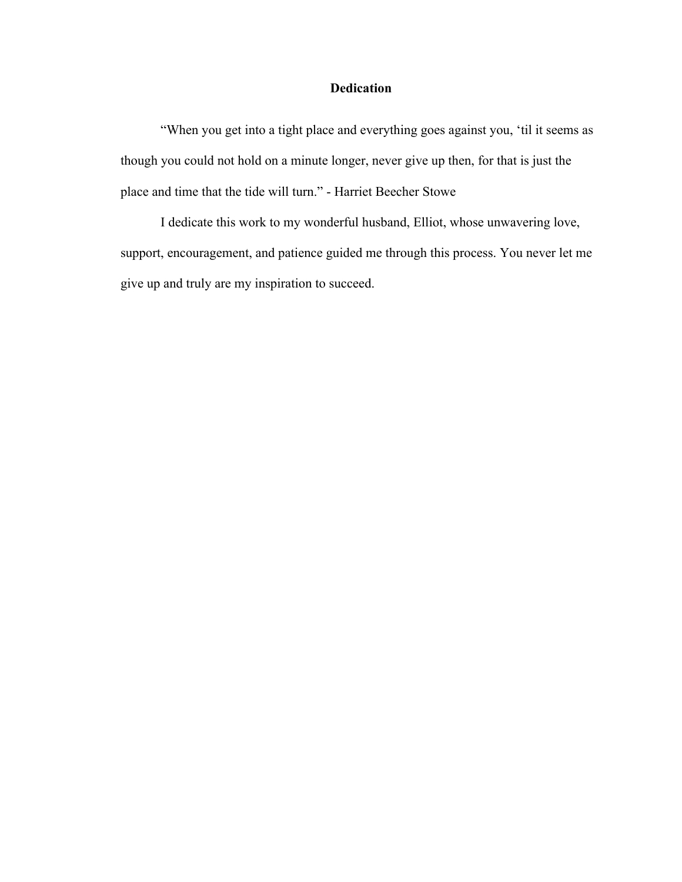### **Dedication**

"When you get into a tight place and everything goes against you, 'til it seems as though you could not hold on a minute longer, never give up then, for that is just the place and time that the tide will turn." - Harriet Beecher Stowe

I dedicate this work to my wonderful husband, Elliot, whose unwavering love, support, encouragement, and patience guided me through this process. You never let me give up and truly are my inspiration to succeed.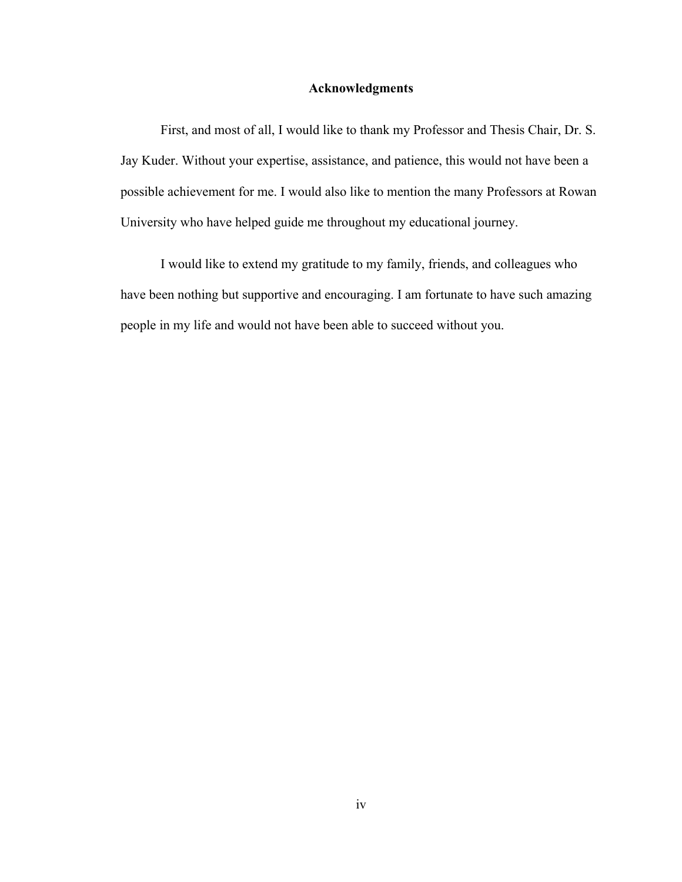#### **Acknowledgments**

First, and most of all, I would like to thank my Professor and Thesis Chair, Dr. S. Jay Kuder. Without your expertise, assistance, and patience, this would not have been a possible achievement for me. I would also like to mention the many Professors at Rowan University who have helped guide me throughout my educational journey.

I would like to extend my gratitude to my family, friends, and colleagues who have been nothing but supportive and encouraging. I am fortunate to have such amazing people in my life and would not have been able to succeed without you.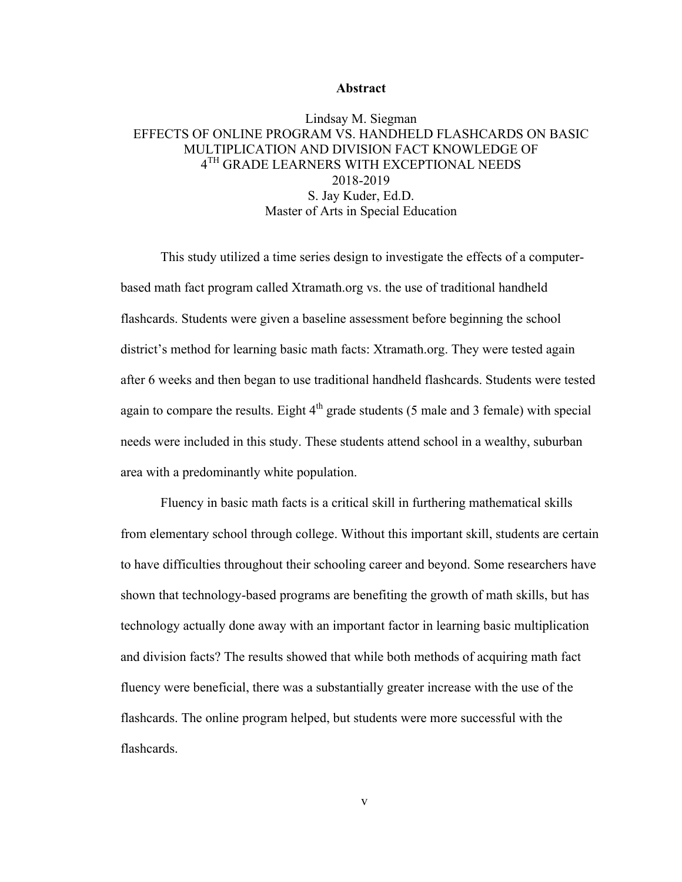#### **Abstract**

### Lindsay M. Siegman EFFECTS OF ONLINE PROGRAM VS. HANDHELD FLASHCARDS ON BASIC MULTIPLICATION AND DIVISION FACT KNOWLEDGE OF  $4^{\mathrm{TH}}$  GRADE LEARNERS WITH EXCEPTIONAL NEEDS 2018-2019 S. Jay Kuder, Ed.D. Master of Arts in Special Education

This study utilized a time series design to investigate the effects of a computerbased math fact program called Xtramath.org vs. the use of traditional handheld flashcards. Students were given a baseline assessment before beginning the school district's method for learning basic math facts: Xtramath.org. They were tested again after 6 weeks and then began to use traditional handheld flashcards. Students were tested again to compare the results. Eight  $4<sup>th</sup>$  grade students (5 male and 3 female) with special needs were included in this study. These students attend school in a wealthy, suburban area with a predominantly white population.

Fluency in basic math facts is a critical skill in furthering mathematical skills from elementary school through college. Without this important skill, students are certain to have difficulties throughout their schooling career and beyond. Some researchers have shown that technology-based programs are benefiting the growth of math skills, but has technology actually done away with an important factor in learning basic multiplication and division facts? The results showed that while both methods of acquiring math fact fluency were beneficial, there was a substantially greater increase with the use of the flashcards. The online program helped, but students were more successful with the flashcards.

v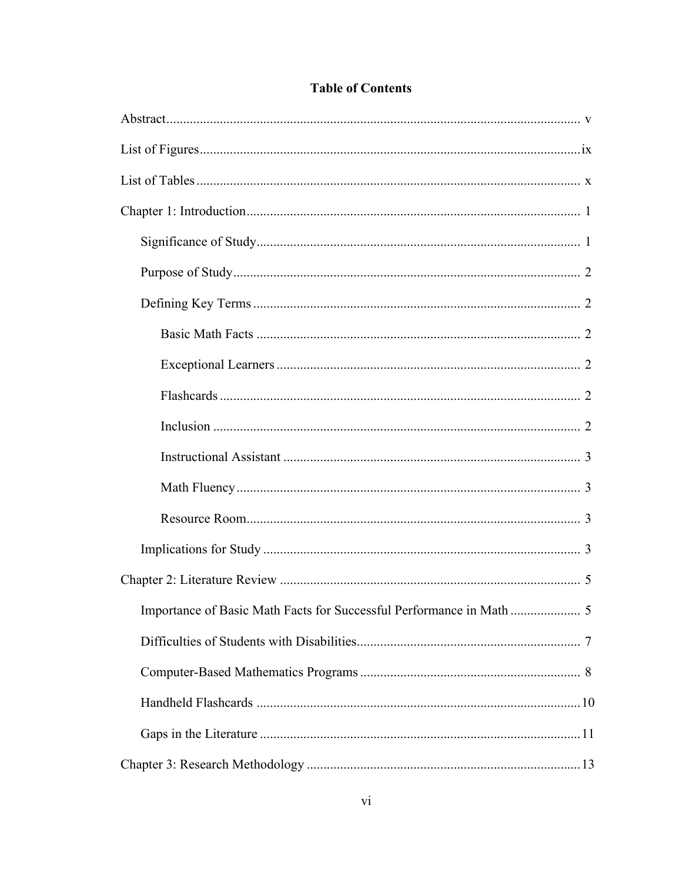## **Table of Contents**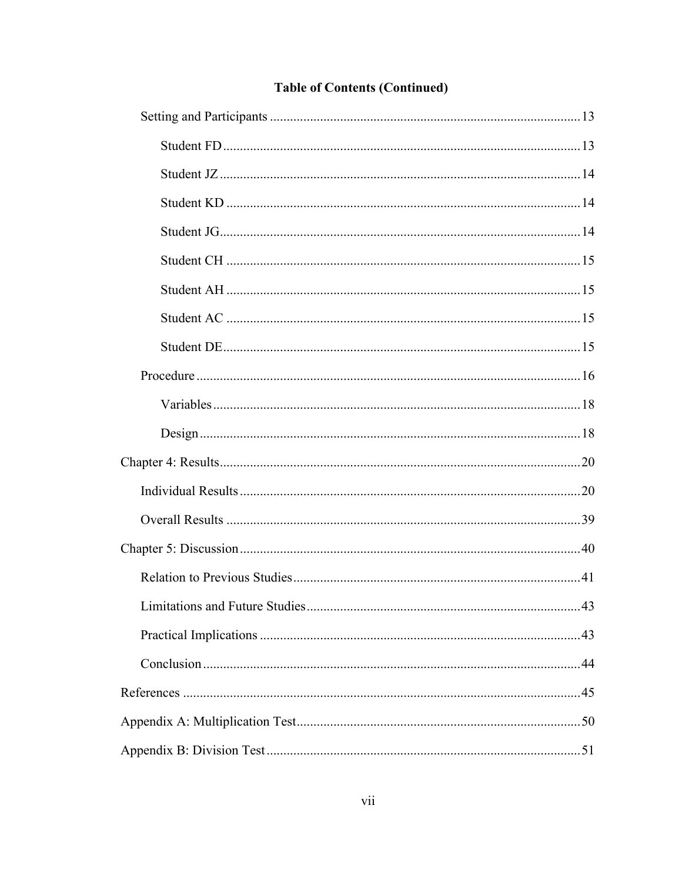| <b>Limitations and Future Studies</b> | .43 |
|---------------------------------------|-----|
|                                       |     |
|                                       |     |
|                                       |     |
|                                       |     |
|                                       |     |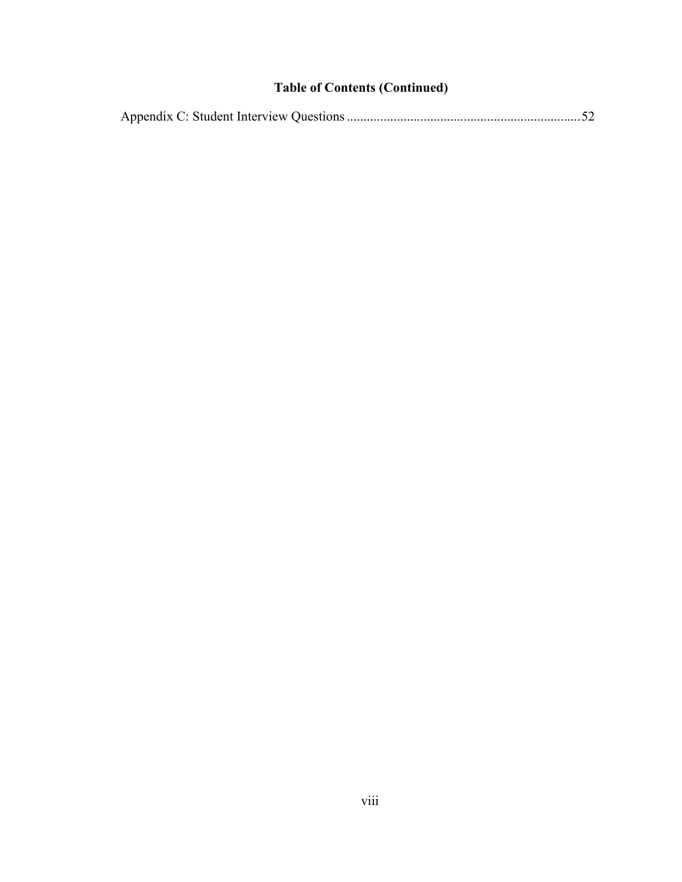## **Table of Contents (Continued)**

|--|--|--|--|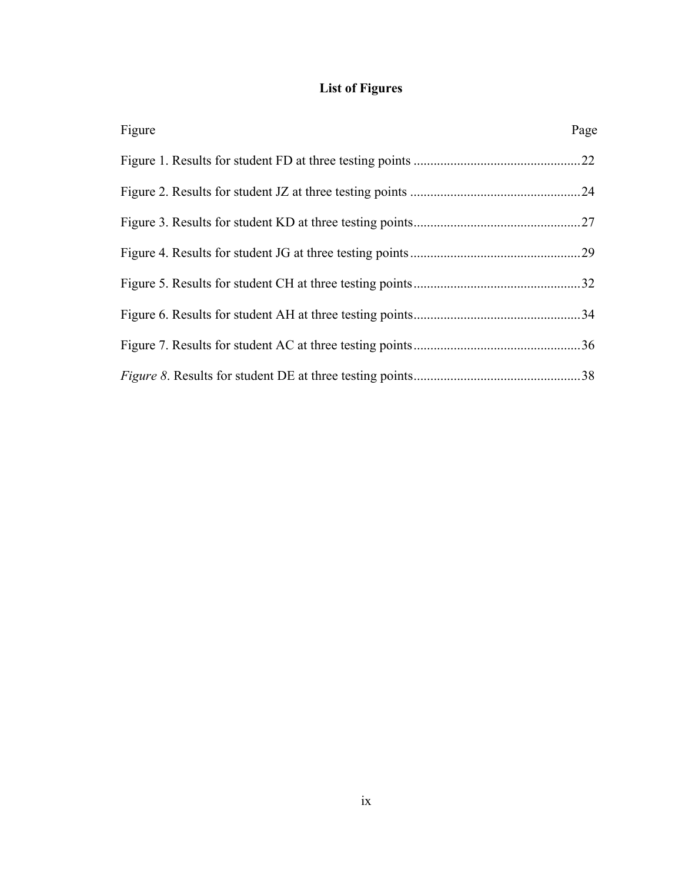## **List of Figures**

| Figure | Page |
|--------|------|
|        | .22  |
|        |      |
|        |      |
|        |      |
|        |      |
|        |      |
|        |      |
|        |      |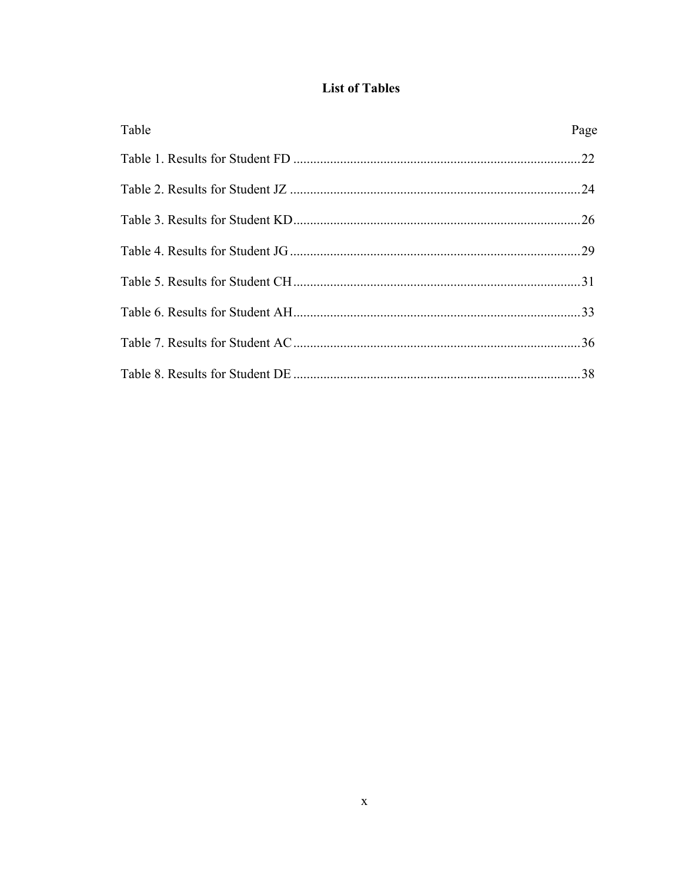## **List of Tables**

| Table | Page |
|-------|------|
|       |      |
|       |      |
|       |      |
|       |      |
|       |      |
|       |      |
|       |      |
|       |      |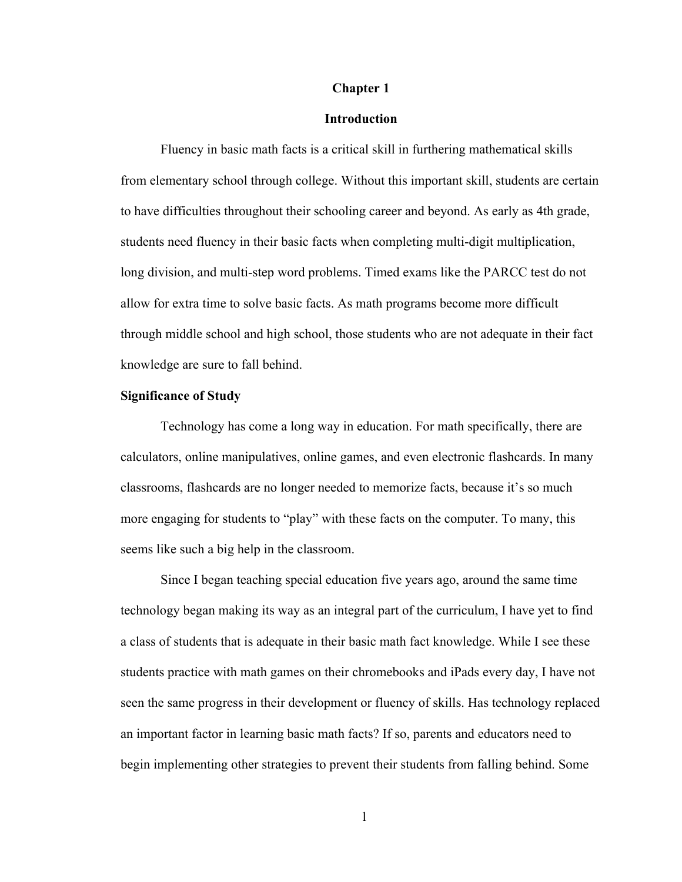#### **Chapter 1**

#### **Introduction**

Fluency in basic math facts is a critical skill in furthering mathematical skills from elementary school through college. Without this important skill, students are certain to have difficulties throughout their schooling career and beyond. As early as 4th grade, students need fluency in their basic facts when completing multi-digit multiplication, long division, and multi-step word problems. Timed exams like the PARCC test do not allow for extra time to solve basic facts. As math programs become more difficult through middle school and high school, those students who are not adequate in their fact knowledge are sure to fall behind.

#### **Significance of Study**

Technology has come a long way in education. For math specifically, there are calculators, online manipulatives, online games, and even electronic flashcards. In many classrooms, flashcards are no longer needed to memorize facts, because it's so much more engaging for students to "play" with these facts on the computer. To many, this seems like such a big help in the classroom.

Since I began teaching special education five years ago, around the same time technology began making its way as an integral part of the curriculum, I have yet to find a class of students that is adequate in their basic math fact knowledge. While I see these students practice with math games on their chromebooks and iPads every day, I have not seen the same progress in their development or fluency of skills. Has technology replaced an important factor in learning basic math facts? If so, parents and educators need to begin implementing other strategies to prevent their students from falling behind. Some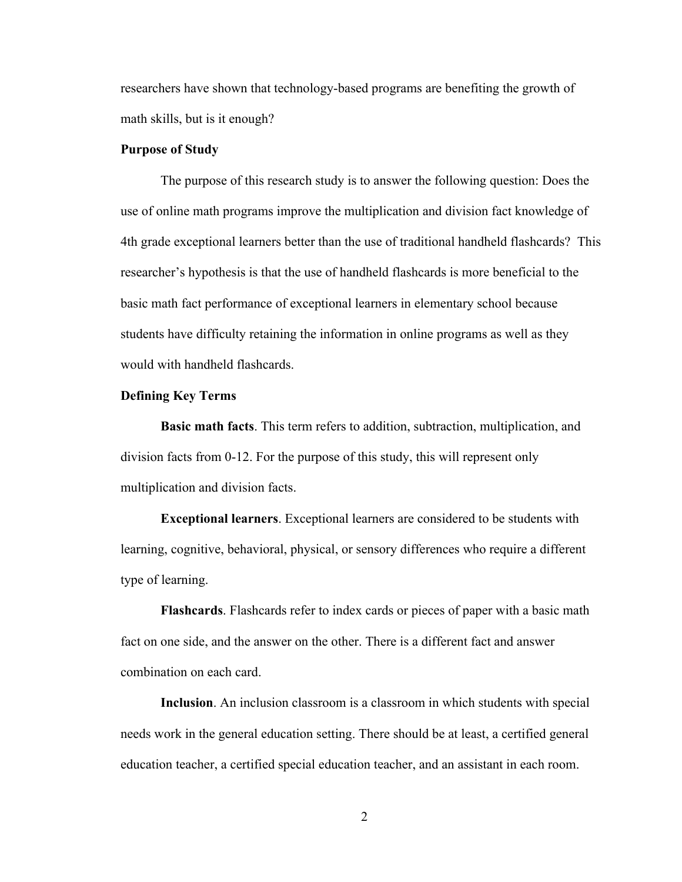researchers have shown that technology-based programs are benefiting the growth of math skills, but is it enough?

#### **Purpose of Study**

The purpose of this research study is to answer the following question: Does the use of online math programs improve the multiplication and division fact knowledge of 4th grade exceptional learners better than the use of traditional handheld flashcards? This researcher's hypothesis is that the use of handheld flashcards is more beneficial to the basic math fact performance of exceptional learners in elementary school because students have difficulty retaining the information in online programs as well as they would with handheld flashcards.

#### **Defining Key Terms**

**Basic math facts**. This term refers to addition, subtraction, multiplication, and division facts from 0-12. For the purpose of this study, this will represent only multiplication and division facts.

**Exceptional learners**. Exceptional learners are considered to be students with learning, cognitive, behavioral, physical, or sensory differences who require a different type of learning.

**Flashcards**. Flashcards refer to index cards or pieces of paper with a basic math fact on one side, and the answer on the other. There is a different fact and answer combination on each card.

**Inclusion**. An inclusion classroom is a classroom in which students with special needs work in the general education setting. There should be at least, a certified general education teacher, a certified special education teacher, and an assistant in each room.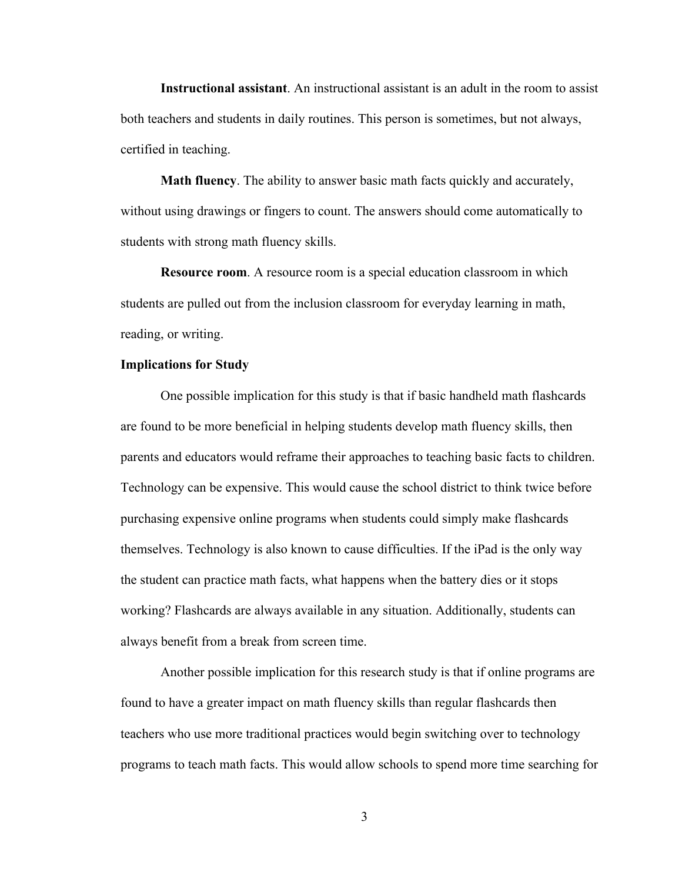**Instructional assistant**. An instructional assistant is an adult in the room to assist both teachers and students in daily routines. This person is sometimes, but not always, certified in teaching.

**Math fluency**. The ability to answer basic math facts quickly and accurately, without using drawings or fingers to count. The answers should come automatically to students with strong math fluency skills.

**Resource room**. A resource room is a special education classroom in which students are pulled out from the inclusion classroom for everyday learning in math, reading, or writing.

#### **Implications for Study**

One possible implication for this study is that if basic handheld math flashcards are found to be more beneficial in helping students develop math fluency skills, then parents and educators would reframe their approaches to teaching basic facts to children. Technology can be expensive. This would cause the school district to think twice before purchasing expensive online programs when students could simply make flashcards themselves. Technology is also known to cause difficulties. If the iPad is the only way the student can practice math facts, what happens when the battery dies or it stops working? Flashcards are always available in any situation. Additionally, students can always benefit from a break from screen time.

Another possible implication for this research study is that if online programs are found to have a greater impact on math fluency skills than regular flashcards then teachers who use more traditional practices would begin switching over to technology programs to teach math facts. This would allow schools to spend more time searching for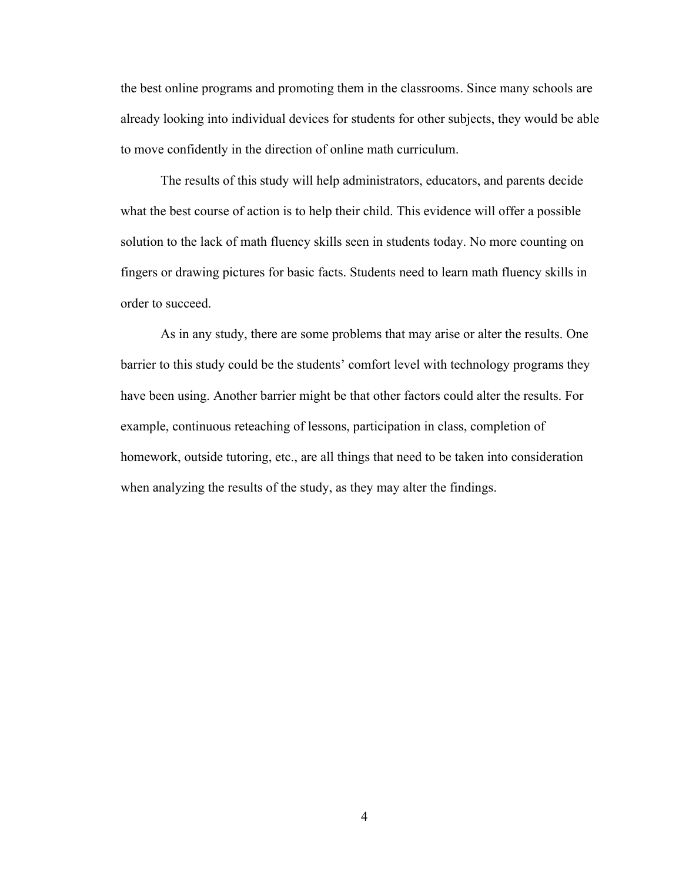the best online programs and promoting them in the classrooms. Since many schools are already looking into individual devices for students for other subjects, they would be able to move confidently in the direction of online math curriculum.

The results of this study will help administrators, educators, and parents decide what the best course of action is to help their child. This evidence will offer a possible solution to the lack of math fluency skills seen in students today. No more counting on fingers or drawing pictures for basic facts. Students need to learn math fluency skills in order to succeed.

As in any study, there are some problems that may arise or alter the results. One barrier to this study could be the students' comfort level with technology programs they have been using. Another barrier might be that other factors could alter the results. For example, continuous reteaching of lessons, participation in class, completion of homework, outside tutoring, etc., are all things that need to be taken into consideration when analyzing the results of the study, as they may alter the findings.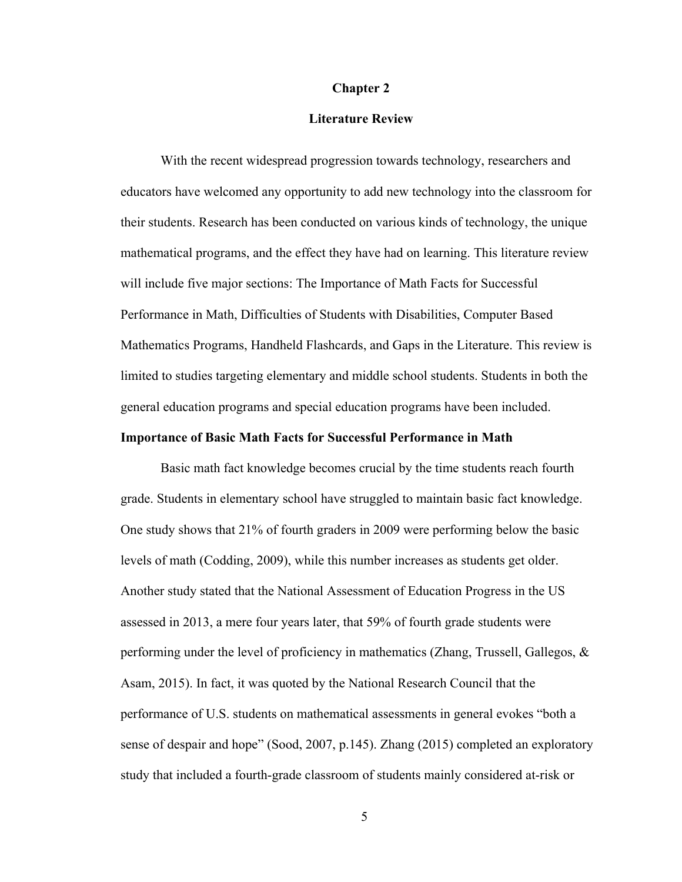#### **Chapter 2**

#### **Literature Review**

With the recent widespread progression towards technology, researchers and educators have welcomed any opportunity to add new technology into the classroom for their students. Research has been conducted on various kinds of technology, the unique mathematical programs, and the effect they have had on learning. This literature review will include five major sections: The Importance of Math Facts for Successful Performance in Math, Difficulties of Students with Disabilities, Computer Based Mathematics Programs, Handheld Flashcards, and Gaps in the Literature. This review is limited to studies targeting elementary and middle school students. Students in both the general education programs and special education programs have been included.

#### **Importance of Basic Math Facts for Successful Performance in Math**

Basic math fact knowledge becomes crucial by the time students reach fourth grade. Students in elementary school have struggled to maintain basic fact knowledge. One study shows that 21% of fourth graders in 2009 were performing below the basic levels of math (Codding, 2009), while this number increases as students get older. Another study stated that the National Assessment of Education Progress in the US assessed in 2013, a mere four years later, that 59% of fourth grade students were performing under the level of proficiency in mathematics (Zhang, Trussell, Gallegos, & Asam, 2015). In fact, it was quoted by the National Research Council that the performance of U.S. students on mathematical assessments in general evokes "both a sense of despair and hope" (Sood, 2007, p.145). Zhang (2015) completed an exploratory study that included a fourth-grade classroom of students mainly considered at-risk or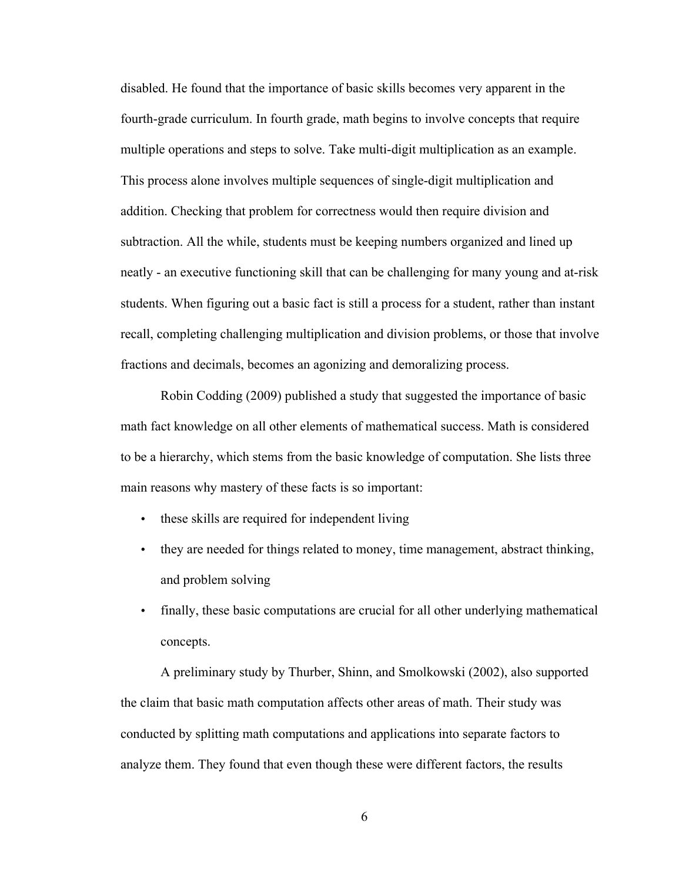disabled. He found that the importance of basic skills becomes very apparent in the fourth-grade curriculum. In fourth grade, math begins to involve concepts that require multiple operations and steps to solve. Take multi-digit multiplication as an example. This process alone involves multiple sequences of single-digit multiplication and addition. Checking that problem for correctness would then require division and subtraction. All the while, students must be keeping numbers organized and lined up neatly - an executive functioning skill that can be challenging for many young and at-risk students. When figuring out a basic fact is still a process for a student, rather than instant recall, completing challenging multiplication and division problems, or those that involve fractions and decimals, becomes an agonizing and demoralizing process.

Robin Codding (2009) published a study that suggested the importance of basic math fact knowledge on all other elements of mathematical success. Math is considered to be a hierarchy, which stems from the basic knowledge of computation. She lists three main reasons why mastery of these facts is so important:

- these skills are required for independent living
- they are needed for things related to money, time management, abstract thinking, and problem solving
- finally, these basic computations are crucial for all other underlying mathematical concepts.

A preliminary study by Thurber, Shinn, and Smolkowski (2002), also supported the claim that basic math computation affects other areas of math. Their study was conducted by splitting math computations and applications into separate factors to analyze them. They found that even though these were different factors, the results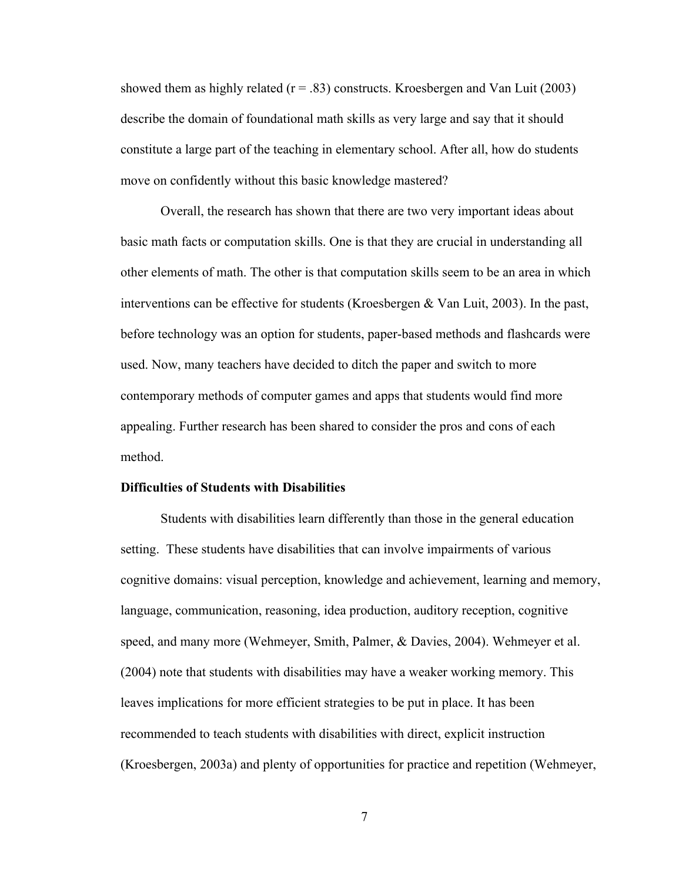showed them as highly related ( $r = .83$ ) constructs. Kroesbergen and Van Luit (2003) describe the domain of foundational math skills as very large and say that it should constitute a large part of the teaching in elementary school. After all, how do students move on confidently without this basic knowledge mastered?

Overall, the research has shown that there are two very important ideas about basic math facts or computation skills. One is that they are crucial in understanding all other elements of math. The other is that computation skills seem to be an area in which interventions can be effective for students (Kroesbergen & Van Luit, 2003). In the past, before technology was an option for students, paper-based methods and flashcards were used. Now, many teachers have decided to ditch the paper and switch to more contemporary methods of computer games and apps that students would find more appealing. Further research has been shared to consider the pros and cons of each method.

#### **Difficulties of Students with Disabilities**

Students with disabilities learn differently than those in the general education setting. These students have disabilities that can involve impairments of various cognitive domains: visual perception, knowledge and achievement, learning and memory, language, communication, reasoning, idea production, auditory reception, cognitive speed, and many more (Wehmeyer, Smith, Palmer, & Davies, 2004). Wehmeyer et al. (2004) note that students with disabilities may have a weaker working memory. This leaves implications for more efficient strategies to be put in place. It has been recommended to teach students with disabilities with direct, explicit instruction (Kroesbergen, 2003a) and plenty of opportunities for practice and repetition (Wehmeyer,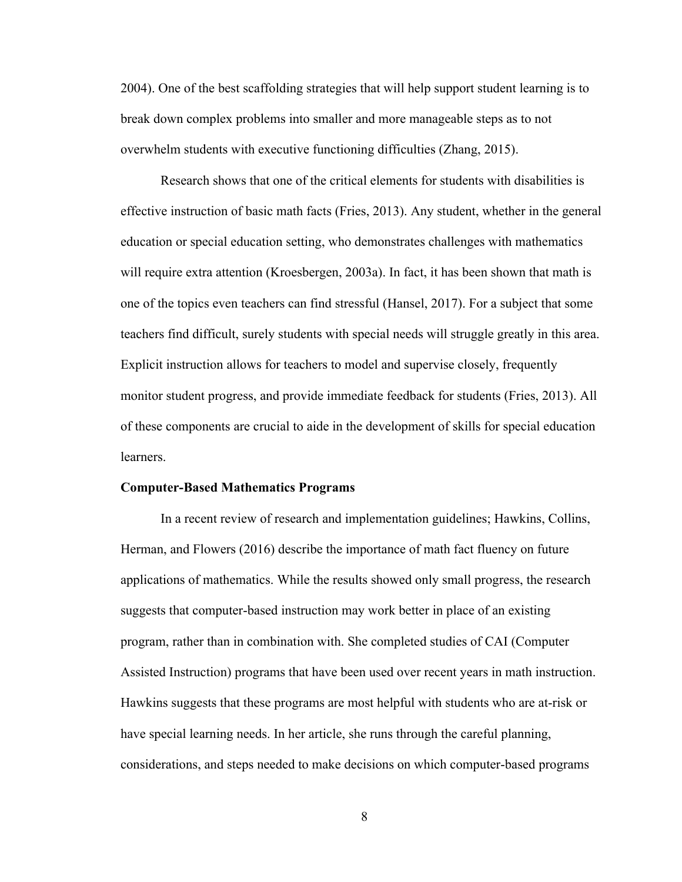2004). One of the best scaffolding strategies that will help support student learning is to break down complex problems into smaller and more manageable steps as to not overwhelm students with executive functioning difficulties (Zhang, 2015).

Research shows that one of the critical elements for students with disabilities is effective instruction of basic math facts (Fries, 2013). Any student, whether in the general education or special education setting, who demonstrates challenges with mathematics will require extra attention (Kroesbergen, 2003a). In fact, it has been shown that math is one of the topics even teachers can find stressful (Hansel, 2017). For a subject that some teachers find difficult, surely students with special needs will struggle greatly in this area. Explicit instruction allows for teachers to model and supervise closely, frequently monitor student progress, and provide immediate feedback for students (Fries, 2013). All of these components are crucial to aide in the development of skills for special education **learners** 

#### **Computer-Based Mathematics Programs**

In a recent review of research and implementation guidelines; Hawkins, Collins, Herman, and Flowers (2016) describe the importance of math fact fluency on future applications of mathematics. While the results showed only small progress, the research suggests that computer-based instruction may work better in place of an existing program, rather than in combination with. She completed studies of CAI (Computer Assisted Instruction) programs that have been used over recent years in math instruction. Hawkins suggests that these programs are most helpful with students who are at-risk or have special learning needs. In her article, she runs through the careful planning, considerations, and steps needed to make decisions on which computer-based programs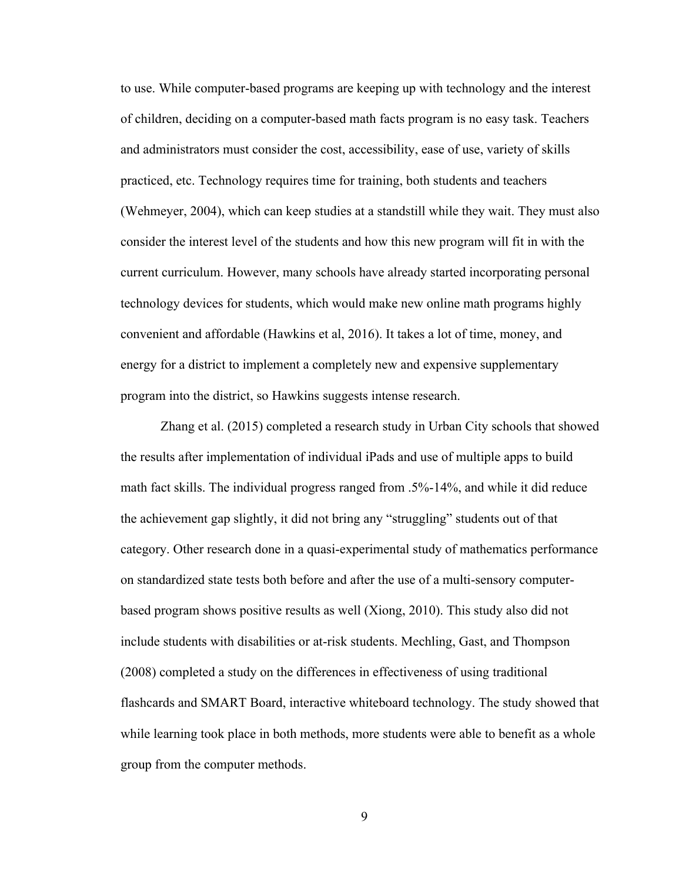to use. While computer-based programs are keeping up with technology and the interest of children, deciding on a computer-based math facts program is no easy task. Teachers and administrators must consider the cost, accessibility, ease of use, variety of skills practiced, etc. Technology requires time for training, both students and teachers (Wehmeyer, 2004), which can keep studies at a standstill while they wait. They must also consider the interest level of the students and how this new program will fit in with the current curriculum. However, many schools have already started incorporating personal technology devices for students, which would make new online math programs highly convenient and affordable (Hawkins et al, 2016). It takes a lot of time, money, and energy for a district to implement a completely new and expensive supplementary program into the district, so Hawkins suggests intense research.

Zhang et al. (2015) completed a research study in Urban City schools that showed the results after implementation of individual iPads and use of multiple apps to build math fact skills. The individual progress ranged from .5%-14%, and while it did reduce the achievement gap slightly, it did not bring any "struggling" students out of that category. Other research done in a quasi-experimental study of mathematics performance on standardized state tests both before and after the use of a multi-sensory computerbased program shows positive results as well (Xiong, 2010). This study also did not include students with disabilities or at-risk students. Mechling, Gast, and Thompson (2008) completed a study on the differences in effectiveness of using traditional flashcards and SMART Board, interactive whiteboard technology. The study showed that while learning took place in both methods, more students were able to benefit as a whole group from the computer methods.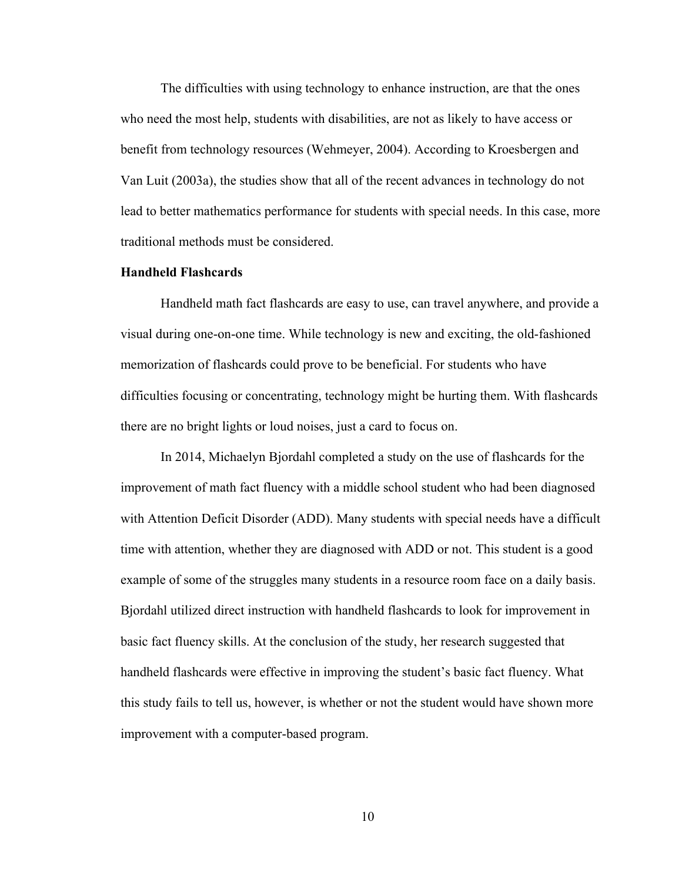The difficulties with using technology to enhance instruction, are that the ones who need the most help, students with disabilities, are not as likely to have access or benefit from technology resources (Wehmeyer, 2004). According to Kroesbergen and Van Luit (2003a), the studies show that all of the recent advances in technology do not lead to better mathematics performance for students with special needs. In this case, more traditional methods must be considered.

#### **Handheld Flashcards**

Handheld math fact flashcards are easy to use, can travel anywhere, and provide a visual during one-on-one time. While technology is new and exciting, the old-fashioned memorization of flashcards could prove to be beneficial. For students who have difficulties focusing or concentrating, technology might be hurting them. With flashcards there are no bright lights or loud noises, just a card to focus on.

In 2014, Michaelyn Bjordahl completed a study on the use of flashcards for the improvement of math fact fluency with a middle school student who had been diagnosed with Attention Deficit Disorder (ADD). Many students with special needs have a difficult time with attention, whether they are diagnosed with ADD or not. This student is a good example of some of the struggles many students in a resource room face on a daily basis. Bjordahl utilized direct instruction with handheld flashcards to look for improvement in basic fact fluency skills. At the conclusion of the study, her research suggested that handheld flashcards were effective in improving the student's basic fact fluency. What this study fails to tell us, however, is whether or not the student would have shown more improvement with a computer-based program.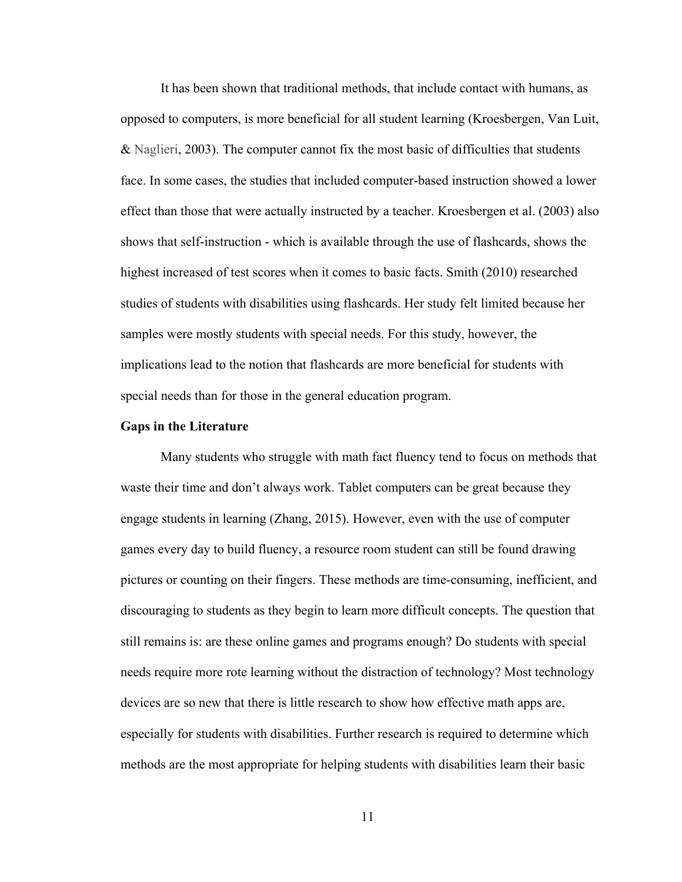It has been shown that traditional methods, that include contact with humans, as opposed to computers, is more beneficial for all student learning (Kroesbergen, Van Luit, & Naglieri, 2003). The computer cannot fix the most basic of difficulties that students face. In some cases, the studies that included computer-based instruction showed a lower effect than those that were actually instructed by a teacher. Kroesbergen et al. (2003) also shows that self-instruction - which is available through the use of flashcards, shows the highest increased of test scores when it comes to basic facts. Smith (2010) researched studies of students with disabilities using flashcards. Her study felt limited because her samples were mostly students with special needs. For this study, however, the implications lead to the notion that flashcards are more beneficial for students with special needs than for those in the general education program.

#### **Gaps in the Literature**

Many students who struggle with math fact fluency tend to focus on methods that waste their time and don't always work. Tablet computers can be great because they engage students in learning (Zhang, 2015). However, even with the use of computer games every day to build fluency, a resource room student can still be found drawing pictures or counting on their fingers. These methods are time-consuming, inefficient, and discouraging to students as they begin to learn more difficult concepts. The question that still remains is: are these online games and programs enough? Do students with special needs require more rote learning without the distraction of technology? Most technology devices are so new that there is little research to show how effective math apps are, especially for students with disabilities. Further research is required to determine which methods are the most appropriate for helping students with disabilities learn their basic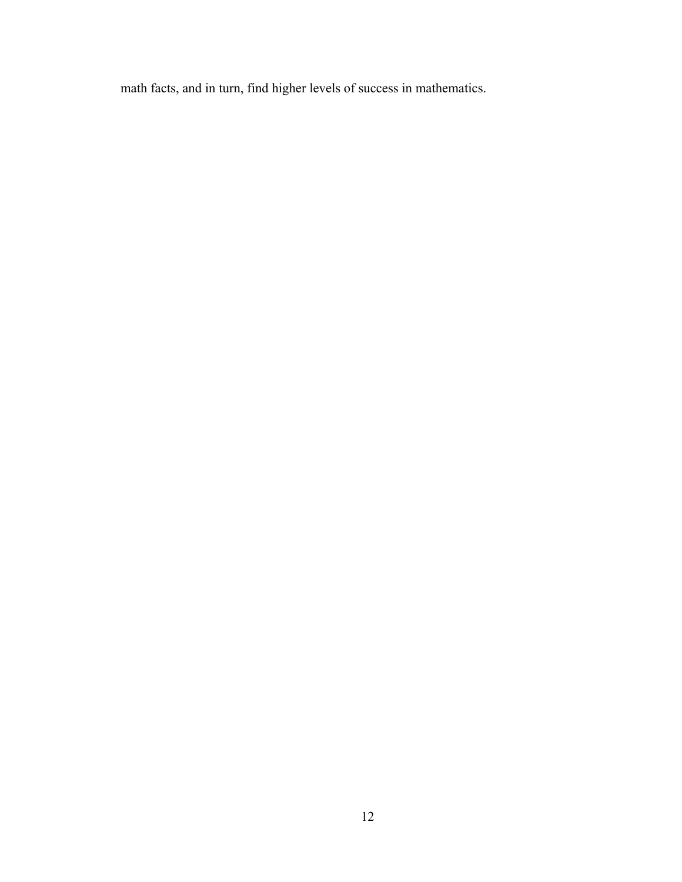math facts, and in turn, find higher levels of success in mathematics.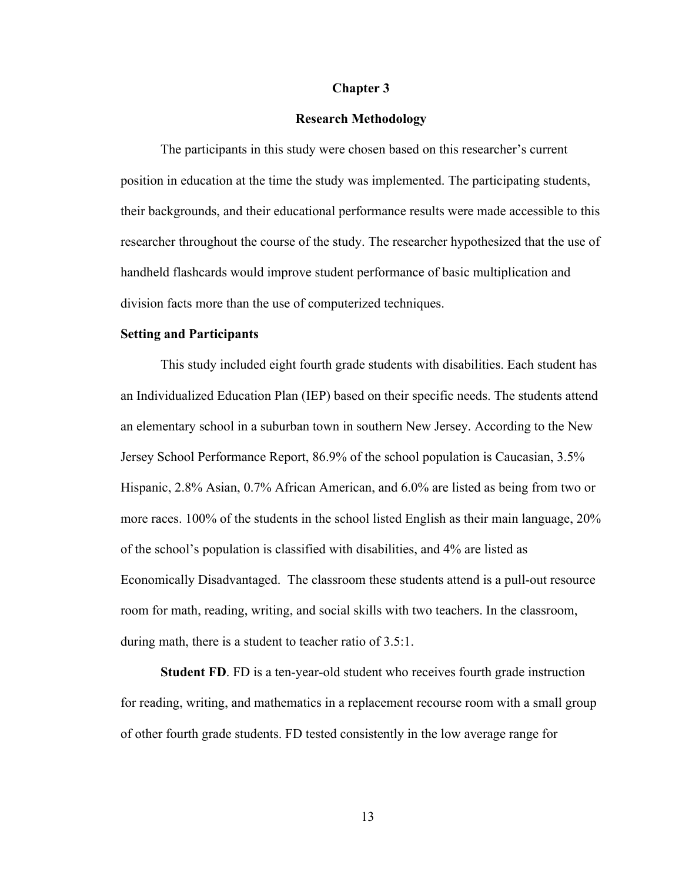#### **Chapter 3**

#### **Research Methodology**

The participants in this study were chosen based on this researcher's current position in education at the time the study was implemented. The participating students, their backgrounds, and their educational performance results were made accessible to this researcher throughout the course of the study. The researcher hypothesized that the use of handheld flashcards would improve student performance of basic multiplication and division facts more than the use of computerized techniques.

#### **Setting and Participants**

This study included eight fourth grade students with disabilities. Each student has an Individualized Education Plan (IEP) based on their specific needs. The students attend an elementary school in a suburban town in southern New Jersey. According to the New Jersey School Performance Report, 86.9% of the school population is Caucasian, 3.5% Hispanic, 2.8% Asian, 0.7% African American, and 6.0% are listed as being from two or more races. 100% of the students in the school listed English as their main language, 20% of the school's population is classified with disabilities, and 4% are listed as Economically Disadvantaged. The classroom these students attend is a pull-out resource room for math, reading, writing, and social skills with two teachers. In the classroom, during math, there is a student to teacher ratio of 3.5:1.

**Student FD**. FD is a ten-year-old student who receives fourth grade instruction for reading, writing, and mathematics in a replacement recourse room with a small group of other fourth grade students. FD tested consistently in the low average range for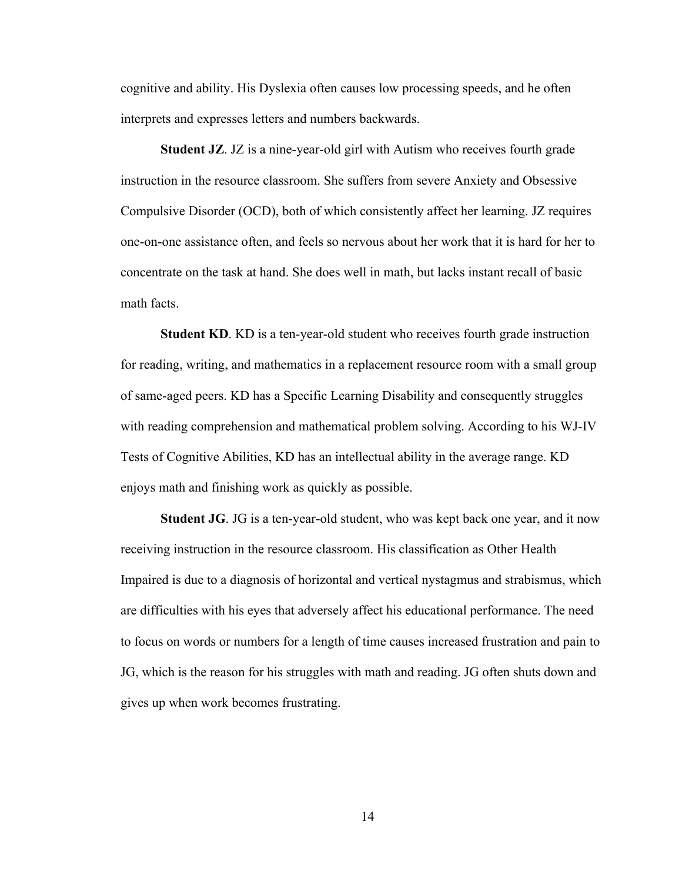cognitive and ability. His Dyslexia often causes low processing speeds, and he often interprets and expresses letters and numbers backwards.

**Student JZ**. JZ is a nine-year-old girl with Autism who receives fourth grade instruction in the resource classroom. She suffers from severe Anxiety and Obsessive Compulsive Disorder (OCD), both of which consistently affect her learning. JZ requires one-on-one assistance often, and feels so nervous about her work that it is hard for her to concentrate on the task at hand. She does well in math, but lacks instant recall of basic math facts.

**Student KD**. KD is a ten-year-old student who receives fourth grade instruction for reading, writing, and mathematics in a replacement resource room with a small group of same-aged peers. KD has a Specific Learning Disability and consequently struggles with reading comprehension and mathematical problem solving. According to his WJ-IV Tests of Cognitive Abilities, KD has an intellectual ability in the average range. KD enjoys math and finishing work as quickly as possible.

**Student JG**. JG is a ten-year-old student, who was kept back one year, and it now receiving instruction in the resource classroom. His classification as Other Health Impaired is due to a diagnosis of horizontal and vertical nystagmus and strabismus, which are difficulties with his eyes that adversely affect his educational performance. The need to focus on words or numbers for a length of time causes increased frustration and pain to JG, which is the reason for his struggles with math and reading. JG often shuts down and gives up when work becomes frustrating.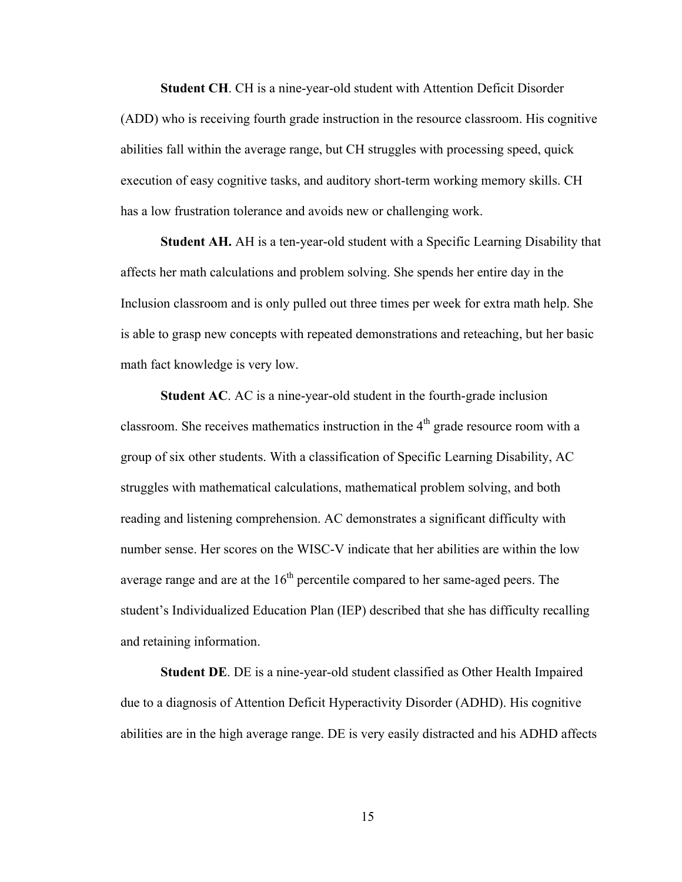**Student CH**. CH is a nine-year-old student with Attention Deficit Disorder (ADD) who is receiving fourth grade instruction in the resource classroom. His cognitive abilities fall within the average range, but CH struggles with processing speed, quick execution of easy cognitive tasks, and auditory short-term working memory skills. CH has a low frustration tolerance and avoids new or challenging work.

**Student AH.** AH is a ten-year-old student with a Specific Learning Disability that affects her math calculations and problem solving. She spends her entire day in the Inclusion classroom and is only pulled out three times per week for extra math help. She is able to grasp new concepts with repeated demonstrations and reteaching, but her basic math fact knowledge is very low.

**Student AC**. AC is a nine-year-old student in the fourth-grade inclusion classroom. She receives mathematics instruction in the  $4<sup>th</sup>$  grade resource room with a group of six other students. With a classification of Specific Learning Disability, AC struggles with mathematical calculations, mathematical problem solving, and both reading and listening comprehension. AC demonstrates a significant difficulty with number sense. Her scores on the WISC-V indicate that her abilities are within the low average range and are at the  $16<sup>th</sup>$  percentile compared to her same-aged peers. The student's Individualized Education Plan (IEP) described that she has difficulty recalling and retaining information.

**Student DE**. DE is a nine-year-old student classified as Other Health Impaired due to a diagnosis of Attention Deficit Hyperactivity Disorder (ADHD). His cognitive abilities are in the high average range. DE is very easily distracted and his ADHD affects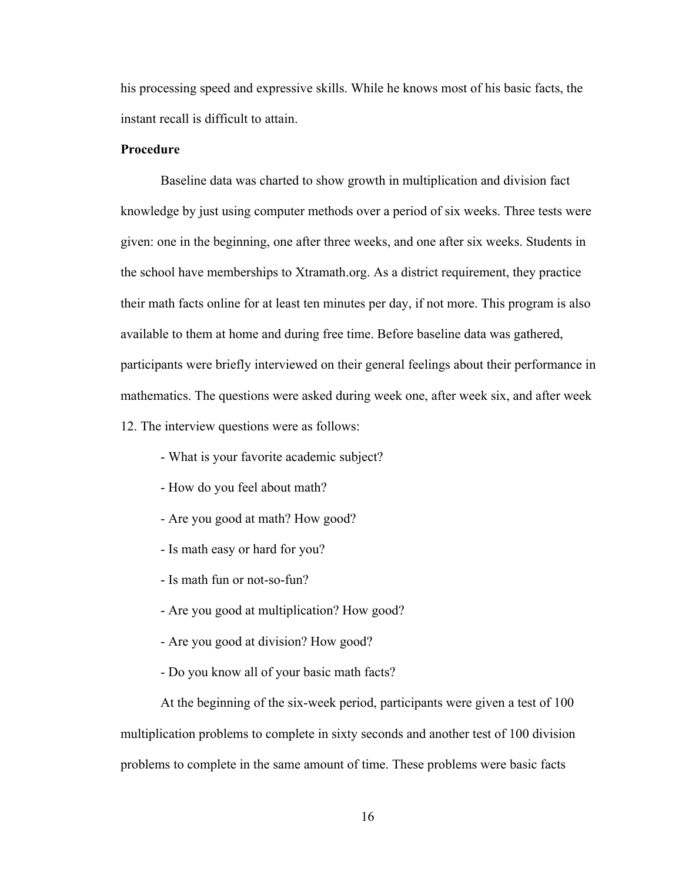his processing speed and expressive skills. While he knows most of his basic facts, the instant recall is difficult to attain.

#### **Procedure**

Baseline data was charted to show growth in multiplication and division fact knowledge by just using computer methods over a period of six weeks. Three tests were given: one in the beginning, one after three weeks, and one after six weeks. Students in the school have memberships to Xtramath.org. As a district requirement, they practice their math facts online for at least ten minutes per day, if not more. This program is also available to them at home and during free time. Before baseline data was gathered, participants were briefly interviewed on their general feelings about their performance in mathematics. The questions were asked during week one, after week six, and after week 12. The interview questions were as follows:

- What is your favorite academic subject?
- How do you feel about math?
- Are you good at math? How good?
- Is math easy or hard for you?
- Is math fun or not-so-fun?
- Are you good at multiplication? How good?
- Are you good at division? How good?
- Do you know all of your basic math facts?

At the beginning of the six-week period, participants were given a test of 100 multiplication problems to complete in sixty seconds and another test of 100 division problems to complete in the same amount of time. These problems were basic facts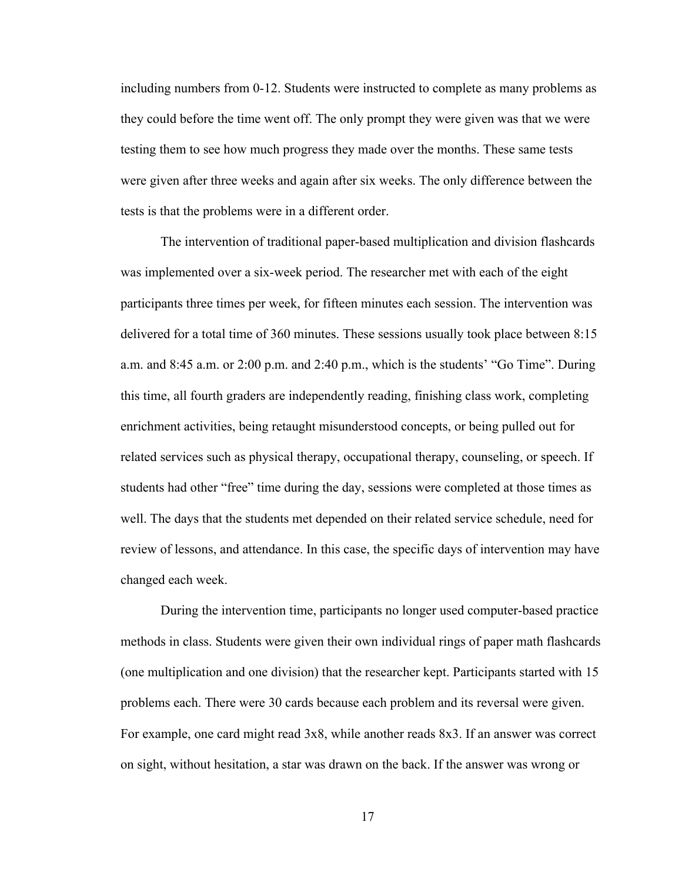including numbers from 0-12. Students were instructed to complete as many problems as they could before the time went off. The only prompt they were given was that we were testing them to see how much progress they made over the months. These same tests were given after three weeks and again after six weeks. The only difference between the tests is that the problems were in a different order.

The intervention of traditional paper-based multiplication and division flashcards was implemented over a six-week period. The researcher met with each of the eight participants three times per week, for fifteen minutes each session. The intervention was delivered for a total time of 360 minutes. These sessions usually took place between 8:15 a.m. and 8:45 a.m. or 2:00 p.m. and 2:40 p.m., which is the students' "Go Time". During this time, all fourth graders are independently reading, finishing class work, completing enrichment activities, being retaught misunderstood concepts, or being pulled out for related services such as physical therapy, occupational therapy, counseling, or speech. If students had other "free" time during the day, sessions were completed at those times as well. The days that the students met depended on their related service schedule, need for review of lessons, and attendance. In this case, the specific days of intervention may have changed each week.

During the intervention time, participants no longer used computer-based practice methods in class. Students were given their own individual rings of paper math flashcards (one multiplication and one division) that the researcher kept. Participants started with 15 problems each. There were 30 cards because each problem and its reversal were given. For example, one card might read 3x8, while another reads 8x3. If an answer was correct on sight, without hesitation, a star was drawn on the back. If the answer was wrong or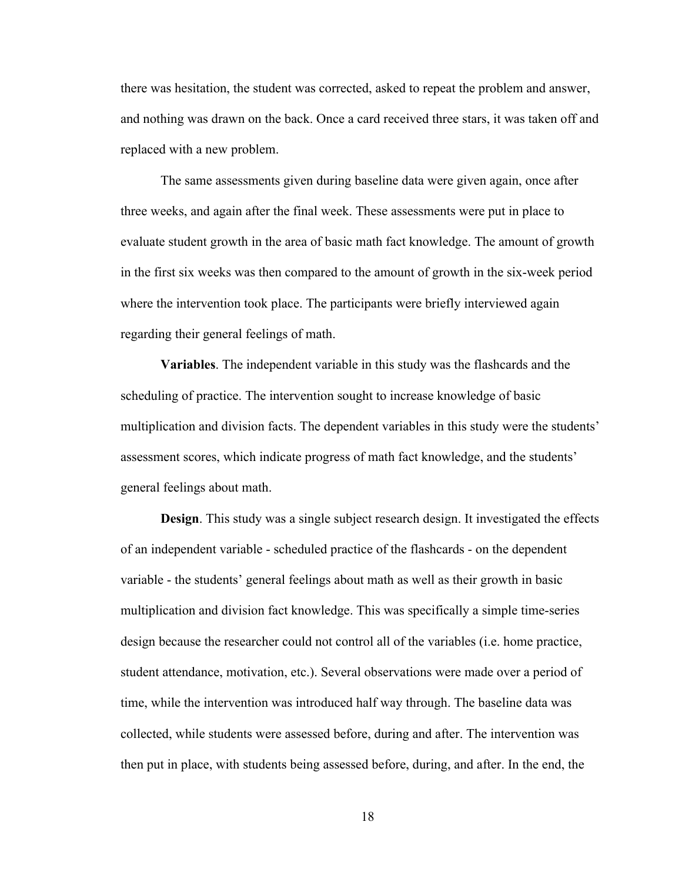there was hesitation, the student was corrected, asked to repeat the problem and answer, and nothing was drawn on the back. Once a card received three stars, it was taken off and replaced with a new problem.

The same assessments given during baseline data were given again, once after three weeks, and again after the final week. These assessments were put in place to evaluate student growth in the area of basic math fact knowledge. The amount of growth in the first six weeks was then compared to the amount of growth in the six-week period where the intervention took place. The participants were briefly interviewed again regarding their general feelings of math.

**Variables**. The independent variable in this study was the flashcards and the scheduling of practice. The intervention sought to increase knowledge of basic multiplication and division facts. The dependent variables in this study were the students' assessment scores, which indicate progress of math fact knowledge, and the students' general feelings about math.

**Design**. This study was a single subject research design. It investigated the effects of an independent variable - scheduled practice of the flashcards - on the dependent variable - the students' general feelings about math as well as their growth in basic multiplication and division fact knowledge. This was specifically a simple time-series design because the researcher could not control all of the variables (i.e. home practice, student attendance, motivation, etc.). Several observations were made over a period of time, while the intervention was introduced half way through. The baseline data was collected, while students were assessed before, during and after. The intervention was then put in place, with students being assessed before, during, and after. In the end, the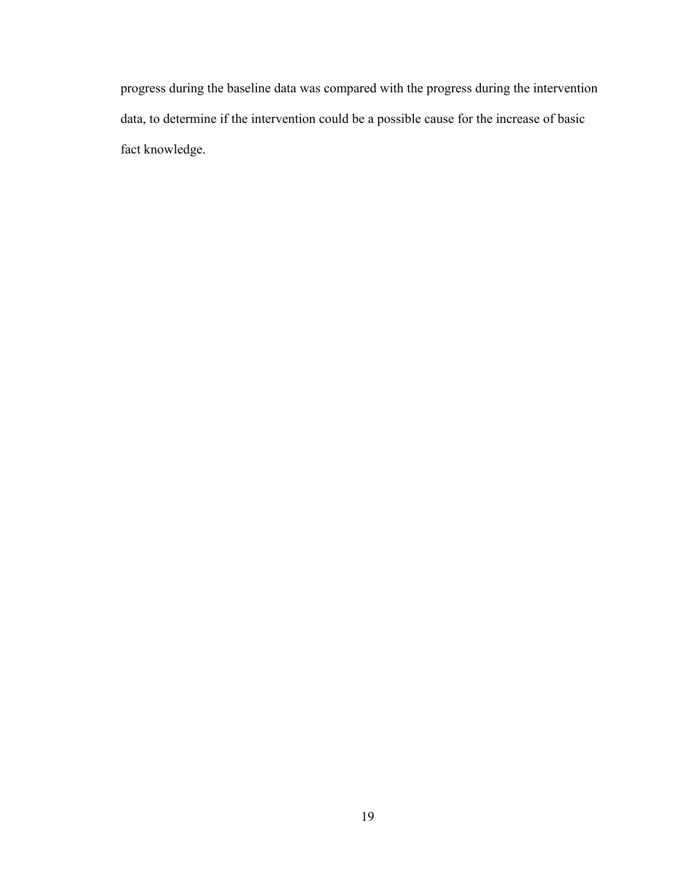progress during the baseline data was compared with the progress during the intervention data, to determine if the intervention could be a possible cause for the increase of basic fact knowledge.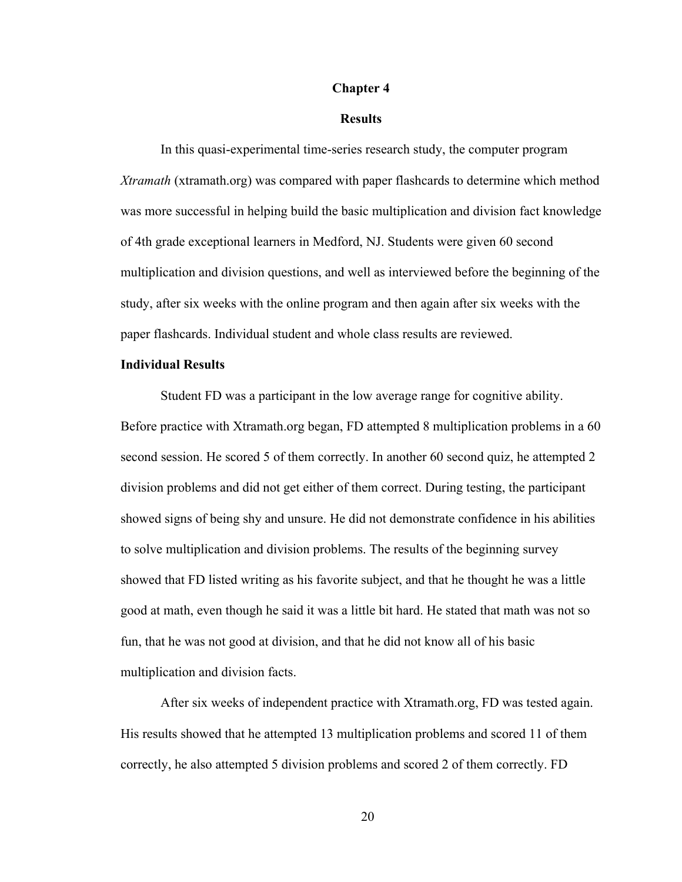#### **Chapter 4**

#### **Results**

In this quasi-experimental time-series research study, the computer program *Xtramath* (xtramath.org) was compared with paper flashcards to determine which method was more successful in helping build the basic multiplication and division fact knowledge of 4th grade exceptional learners in Medford, NJ. Students were given 60 second multiplication and division questions, and well as interviewed before the beginning of the study, after six weeks with the online program and then again after six weeks with the paper flashcards. Individual student and whole class results are reviewed.

#### **Individual Results**

Student FD was a participant in the low average range for cognitive ability. Before practice with Xtramath.org began, FD attempted 8 multiplication problems in a 60 second session. He scored 5 of them correctly. In another 60 second quiz, he attempted 2 division problems and did not get either of them correct. During testing, the participant showed signs of being shy and unsure. He did not demonstrate confidence in his abilities to solve multiplication and division problems. The results of the beginning survey showed that FD listed writing as his favorite subject, and that he thought he was a little good at math, even though he said it was a little bit hard. He stated that math was not so fun, that he was not good at division, and that he did not know all of his basic multiplication and division facts.

After six weeks of independent practice with Xtramath.org, FD was tested again. His results showed that he attempted 13 multiplication problems and scored 11 of them correctly, he also attempted 5 division problems and scored 2 of them correctly. FD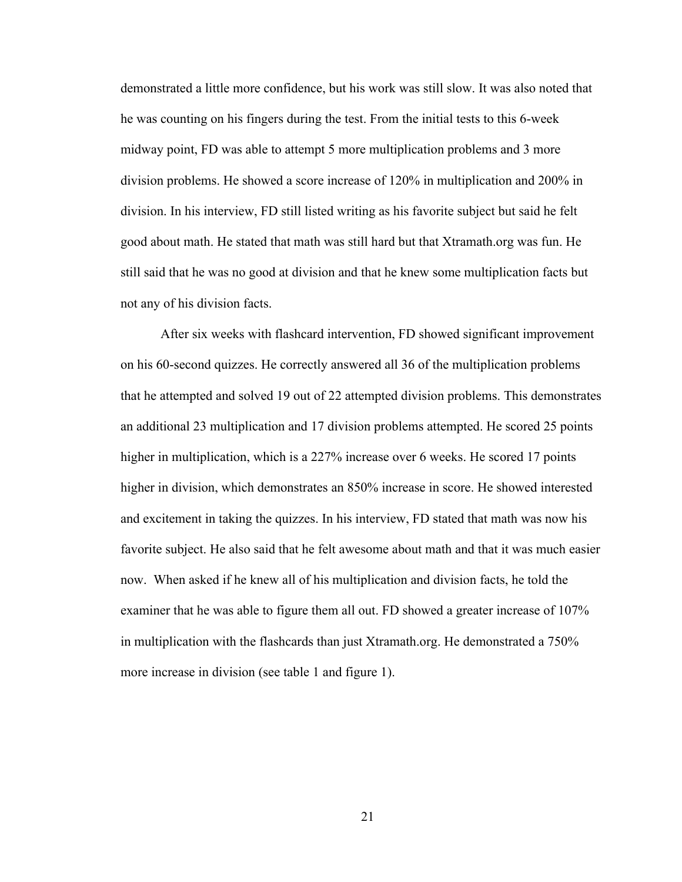demonstrated a little more confidence, but his work was still slow. It was also noted that he was counting on his fingers during the test. From the initial tests to this 6-week midway point, FD was able to attempt 5 more multiplication problems and 3 more division problems. He showed a score increase of 120% in multiplication and 200% in division. In his interview, FD still listed writing as his favorite subject but said he felt good about math. He stated that math was still hard but that Xtramath.org was fun. He still said that he was no good at division and that he knew some multiplication facts but not any of his division facts.

After six weeks with flashcard intervention, FD showed significant improvement on his 60-second quizzes. He correctly answered all 36 of the multiplication problems that he attempted and solved 19 out of 22 attempted division problems. This demonstrates an additional 23 multiplication and 17 division problems attempted. He scored 25 points higher in multiplication, which is a 227% increase over 6 weeks. He scored 17 points higher in division, which demonstrates an 850% increase in score. He showed interested and excitement in taking the quizzes. In his interview, FD stated that math was now his favorite subject. He also said that he felt awesome about math and that it was much easier now. When asked if he knew all of his multiplication and division facts, he told the examiner that he was able to figure them all out. FD showed a greater increase of 107% in multiplication with the flashcards than just Xtramath.org. He demonstrated a 750% more increase in division (see table 1 and figure 1).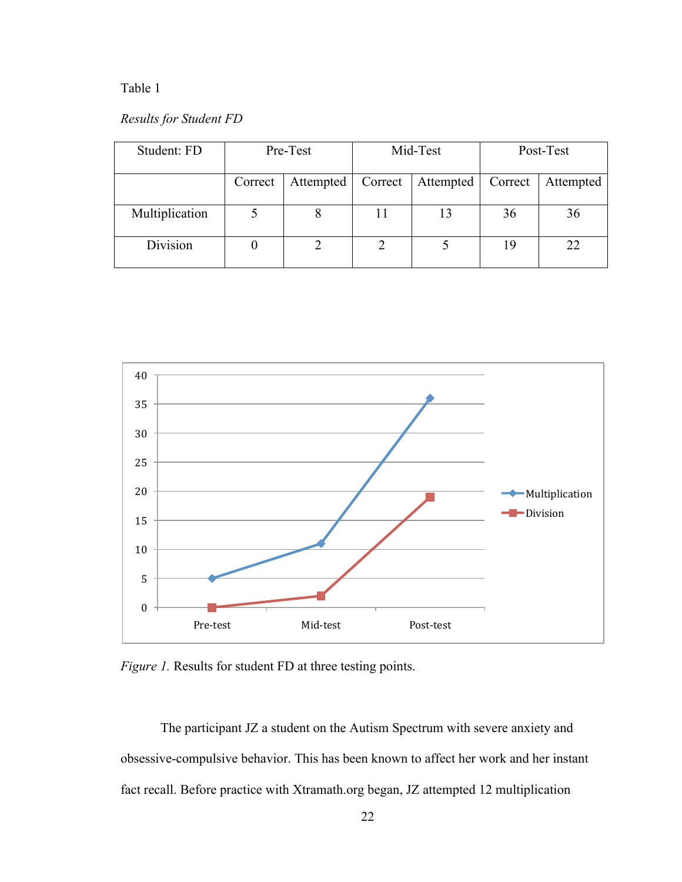## Table 1

## *Results for Student FD*

| Student: FD    | Pre-Test |           | Mid-Test |           | Post-Test |           |
|----------------|----------|-----------|----------|-----------|-----------|-----------|
|                | Correct  | Attempted | Correct  | Attempted | Correct   | Attempted |
| Multiplication |          |           | 11       | 13        | 36        | 36        |
| Division       |          |           |          |           | 19        | 22        |



*Figure 1.* Results for student FD at three testing points.

The participant JZ a student on the Autism Spectrum with severe anxiety and obsessive-compulsive behavior. This has been known to affect her work and her instant fact recall. Before practice with Xtramath.org began, JZ attempted 12 multiplication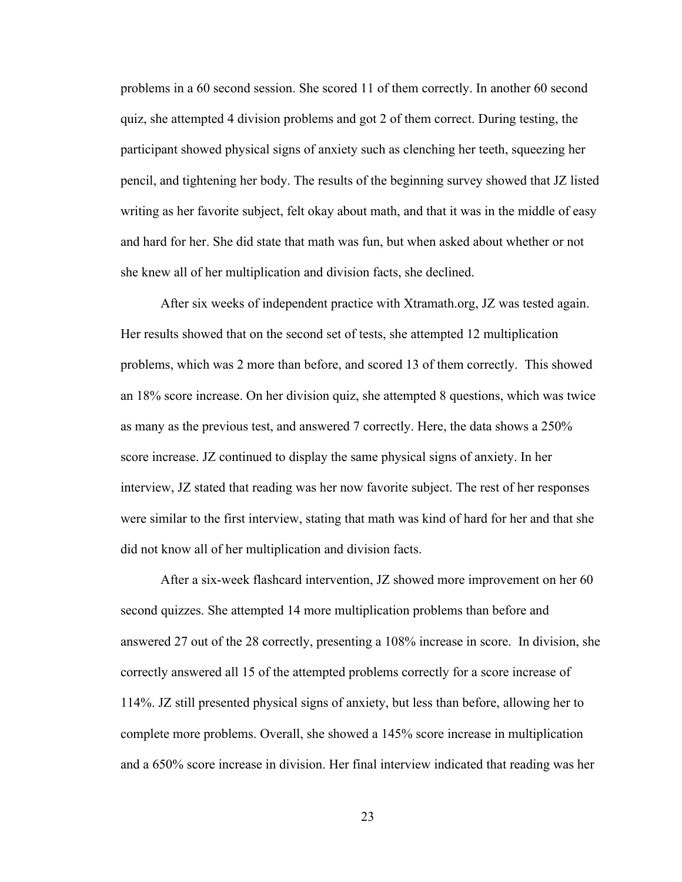problems in a 60 second session. She scored 11 of them correctly. In another 60 second quiz, she attempted 4 division problems and got 2 of them correct. During testing, the participant showed physical signs of anxiety such as clenching her teeth, squeezing her pencil, and tightening her body. The results of the beginning survey showed that JZ listed writing as her favorite subject, felt okay about math, and that it was in the middle of easy and hard for her. She did state that math was fun, but when asked about whether or not she knew all of her multiplication and division facts, she declined.

After six weeks of independent practice with Xtramath.org, JZ was tested again. Her results showed that on the second set of tests, she attempted 12 multiplication problems, which was 2 more than before, and scored 13 of them correctly. This showed an 18% score increase. On her division quiz, she attempted 8 questions, which was twice as many as the previous test, and answered 7 correctly. Here, the data shows a 250% score increase. JZ continued to display the same physical signs of anxiety. In her interview, JZ stated that reading was her now favorite subject. The rest of her responses were similar to the first interview, stating that math was kind of hard for her and that she did not know all of her multiplication and division facts.

After a six-week flashcard intervention, JZ showed more improvement on her 60 second quizzes. She attempted 14 more multiplication problems than before and answered 27 out of the 28 correctly, presenting a 108% increase in score. In division, she correctly answered all 15 of the attempted problems correctly for a score increase of 114%. JZ still presented physical signs of anxiety, but less than before, allowing her to complete more problems. Overall, she showed a 145% score increase in multiplication and a 650% score increase in division. Her final interview indicated that reading was her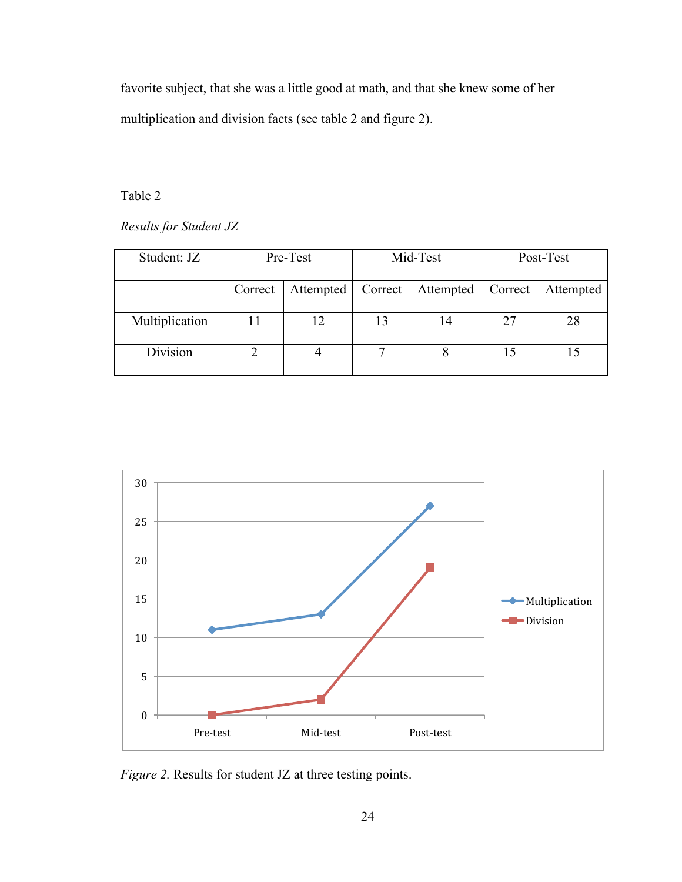favorite subject, that she was a little good at math, and that she knew some of her multiplication and division facts (see table 2 and figure 2).

## Table 2

*Results for Student JZ*

| Student: JZ    | Pre-Test |           | Mid-Test |           | Post-Test |           |
|----------------|----------|-----------|----------|-----------|-----------|-----------|
|                | Correct  | Attempted | Correct  | Attempted | Correct   | Attempted |
| Multiplication |          | 12        | 13       | 14        | 27        | 28        |
| Division       |          |           | ⇁        |           | 15        |           |



*Figure 2.* Results for student JZ at three testing points.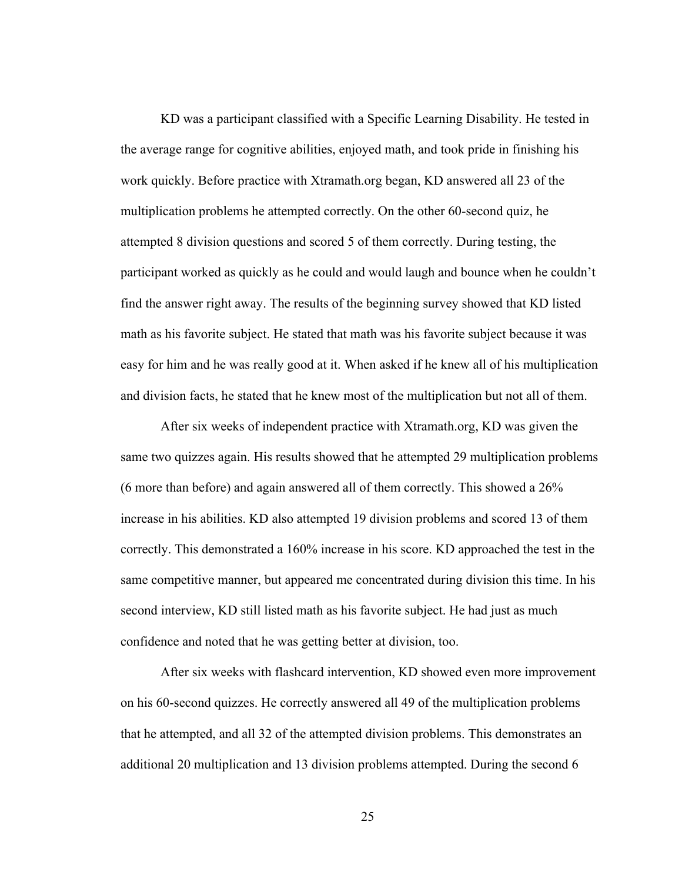KD was a participant classified with a Specific Learning Disability. He tested in the average range for cognitive abilities, enjoyed math, and took pride in finishing his work quickly. Before practice with Xtramath.org began, KD answered all 23 of the multiplication problems he attempted correctly. On the other 60-second quiz, he attempted 8 division questions and scored 5 of them correctly. During testing, the participant worked as quickly as he could and would laugh and bounce when he couldn't find the answer right away. The results of the beginning survey showed that KD listed math as his favorite subject. He stated that math was his favorite subject because it was easy for him and he was really good at it. When asked if he knew all of his multiplication and division facts, he stated that he knew most of the multiplication but not all of them.

After six weeks of independent practice with Xtramath.org, KD was given the same two quizzes again. His results showed that he attempted 29 multiplication problems (6 more than before) and again answered all of them correctly. This showed a 26% increase in his abilities. KD also attempted 19 division problems and scored 13 of them correctly. This demonstrated a 160% increase in his score. KD approached the test in the same competitive manner, but appeared me concentrated during division this time. In his second interview, KD still listed math as his favorite subject. He had just as much confidence and noted that he was getting better at division, too.

After six weeks with flashcard intervention, KD showed even more improvement on his 60-second quizzes. He correctly answered all 49 of the multiplication problems that he attempted, and all 32 of the attempted division problems. This demonstrates an additional 20 multiplication and 13 division problems attempted. During the second 6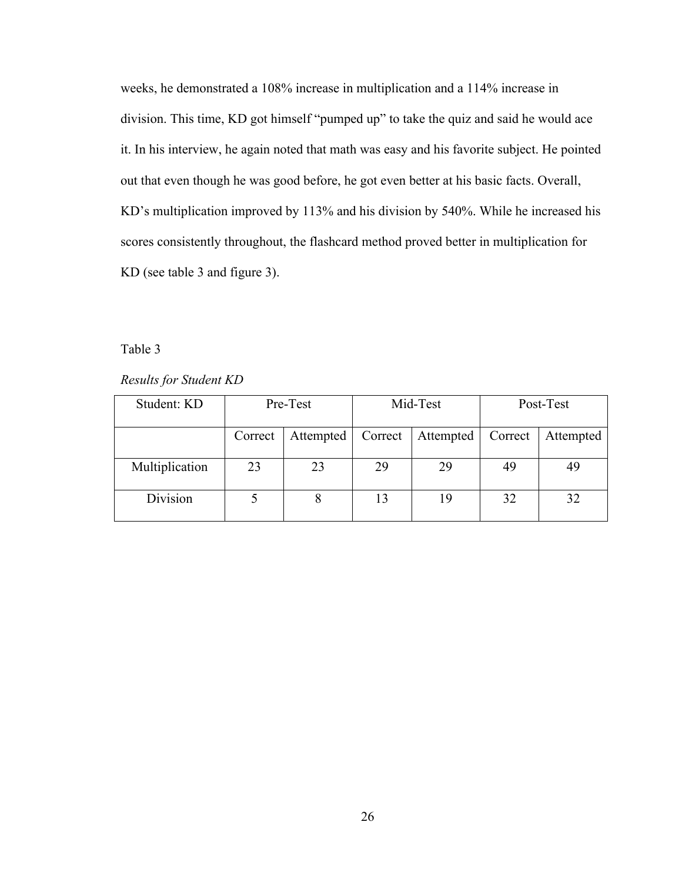weeks, he demonstrated a 108% increase in multiplication and a 114% increase in division. This time, KD got himself "pumped up" to take the quiz and said he would ace it. In his interview, he again noted that math was easy and his favorite subject. He pointed out that even though he was good before, he got even better at his basic facts. Overall, KD's multiplication improved by 113% and his division by 540%. While he increased his scores consistently throughout, the flashcard method proved better in multiplication for KD (see table 3 and figure 3).

#### Table 3

*Results for Student KD*

| Student: KD    | Pre-Test |           | Mid-Test |           |         | Post-Test |  |
|----------------|----------|-----------|----------|-----------|---------|-----------|--|
|                | Correct  | Attempted | Correct  | Attempted | Correct | Attempted |  |
| Multiplication | 23       | 23        | 29       | 29        | 49      | 49        |  |
| Division       |          |           | 13       | 19        | 32      | 32        |  |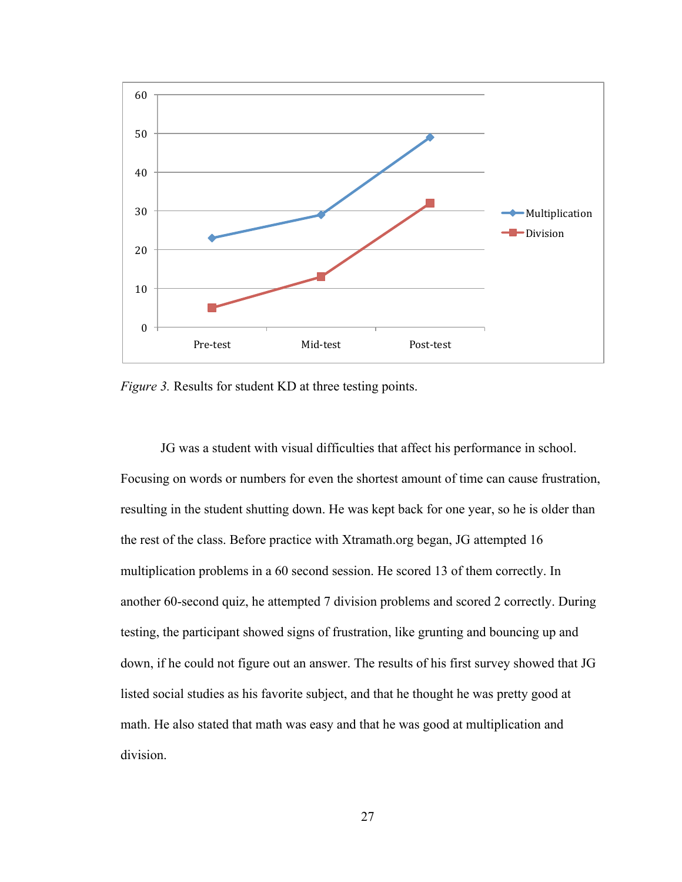

*Figure 3.* Results for student KD at three testing points.

JG was a student with visual difficulties that affect his performance in school. Focusing on words or numbers for even the shortest amount of time can cause frustration, resulting in the student shutting down. He was kept back for one year, so he is older than the rest of the class. Before practice with Xtramath.org began, JG attempted 16 multiplication problems in a 60 second session. He scored 13 of them correctly. In another 60-second quiz, he attempted 7 division problems and scored 2 correctly. During testing, the participant showed signs of frustration, like grunting and bouncing up and down, if he could not figure out an answer. The results of his first survey showed that JG listed social studies as his favorite subject, and that he thought he was pretty good at math. He also stated that math was easy and that he was good at multiplication and division.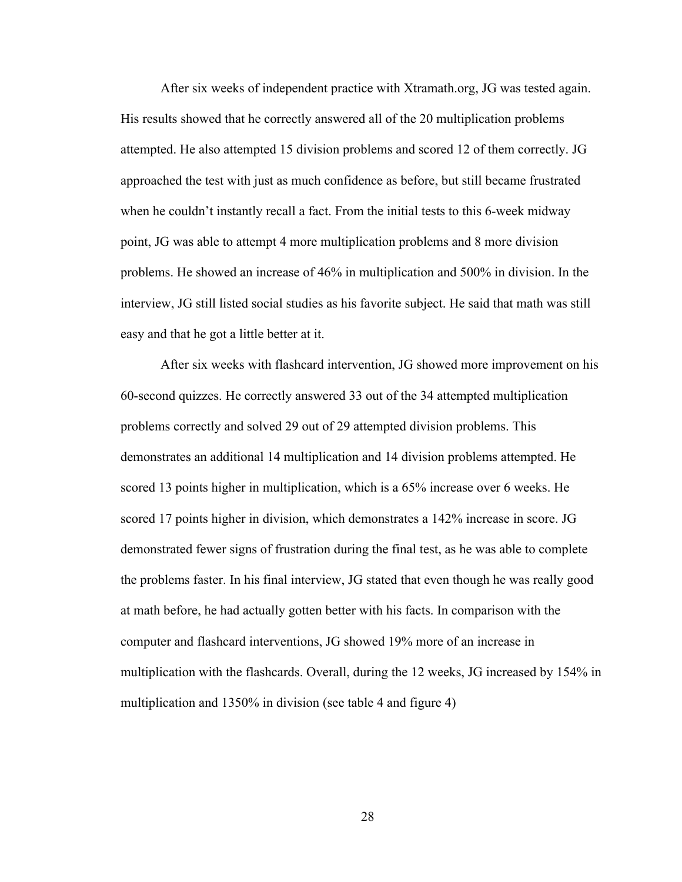After six weeks of independent practice with Xtramath.org, JG was tested again. His results showed that he correctly answered all of the 20 multiplication problems attempted. He also attempted 15 division problems and scored 12 of them correctly. JG approached the test with just as much confidence as before, but still became frustrated when he couldn't instantly recall a fact. From the initial tests to this 6-week midway point, JG was able to attempt 4 more multiplication problems and 8 more division problems. He showed an increase of 46% in multiplication and 500% in division. In the interview, JG still listed social studies as his favorite subject. He said that math was still easy and that he got a little better at it.

After six weeks with flashcard intervention, JG showed more improvement on his 60-second quizzes. He correctly answered 33 out of the 34 attempted multiplication problems correctly and solved 29 out of 29 attempted division problems. This demonstrates an additional 14 multiplication and 14 division problems attempted. He scored 13 points higher in multiplication, which is a 65% increase over 6 weeks. He scored 17 points higher in division, which demonstrates a 142% increase in score. JG demonstrated fewer signs of frustration during the final test, as he was able to complete the problems faster. In his final interview, JG stated that even though he was really good at math before, he had actually gotten better with his facts. In comparison with the computer and flashcard interventions, JG showed 19% more of an increase in multiplication with the flashcards. Overall, during the 12 weeks, JG increased by 154% in multiplication and 1350% in division (see table 4 and figure 4)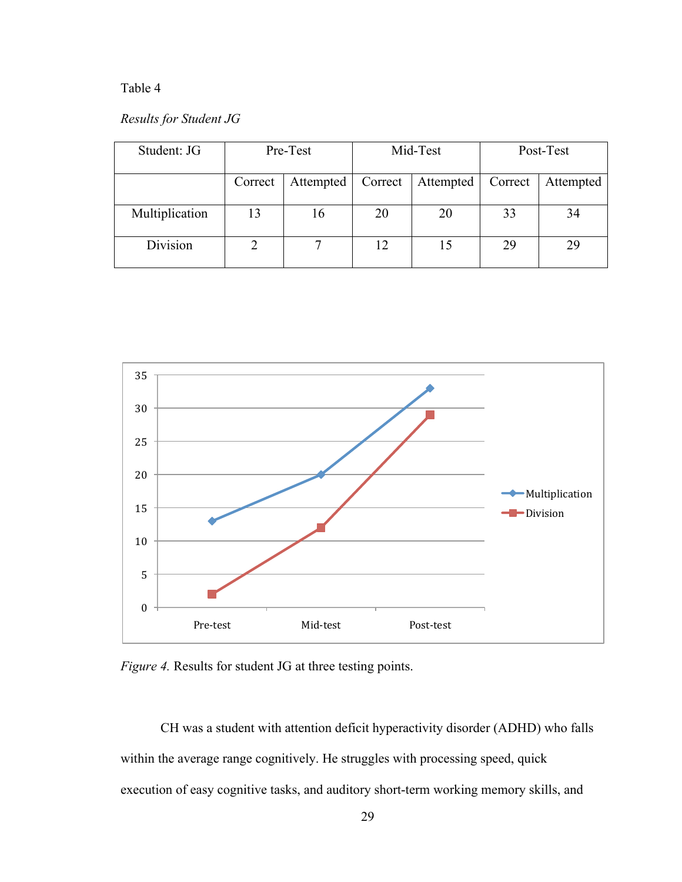## Table 4

## *Results for Student JG*

| Student: JG    | Pre-Test |           | Mid-Test |           | Post-Test |           |
|----------------|----------|-----------|----------|-----------|-----------|-----------|
|                | Correct  | Attempted | Correct  | Attempted | Correct   | Attempted |
| Multiplication | 13       | 16        | 20       | 20        | 33        | 34        |
| Division       |          |           | 12       | 15        | 29        | 29        |



*Figure 4.* Results for student JG at three testing points.

CH was a student with attention deficit hyperactivity disorder (ADHD) who falls within the average range cognitively. He struggles with processing speed, quick execution of easy cognitive tasks, and auditory short-term working memory skills, and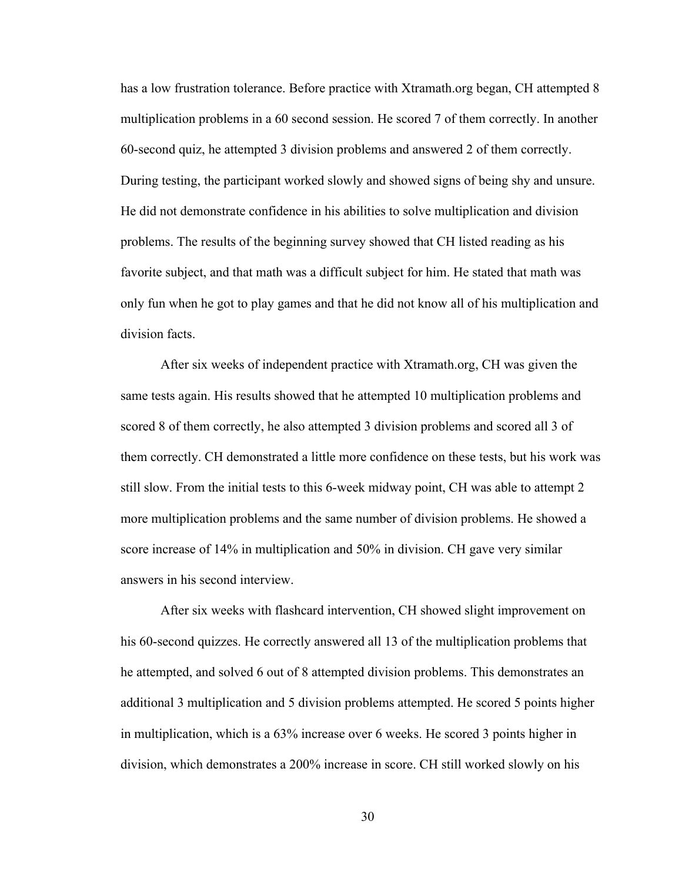has a low frustration tolerance. Before practice with Xtramath.org began, CH attempted 8 multiplication problems in a 60 second session. He scored 7 of them correctly. In another 60-second quiz, he attempted 3 division problems and answered 2 of them correctly. During testing, the participant worked slowly and showed signs of being shy and unsure. He did not demonstrate confidence in his abilities to solve multiplication and division problems. The results of the beginning survey showed that CH listed reading as his favorite subject, and that math was a difficult subject for him. He stated that math was only fun when he got to play games and that he did not know all of his multiplication and division facts.

After six weeks of independent practice with Xtramath.org, CH was given the same tests again. His results showed that he attempted 10 multiplication problems and scored 8 of them correctly, he also attempted 3 division problems and scored all 3 of them correctly. CH demonstrated a little more confidence on these tests, but his work was still slow. From the initial tests to this 6-week midway point, CH was able to attempt 2 more multiplication problems and the same number of division problems. He showed a score increase of 14% in multiplication and 50% in division. CH gave very similar answers in his second interview.

After six weeks with flashcard intervention, CH showed slight improvement on his 60-second quizzes. He correctly answered all 13 of the multiplication problems that he attempted, and solved 6 out of 8 attempted division problems. This demonstrates an additional 3 multiplication and 5 division problems attempted. He scored 5 points higher in multiplication, which is a 63% increase over 6 weeks. He scored 3 points higher in division, which demonstrates a 200% increase in score. CH still worked slowly on his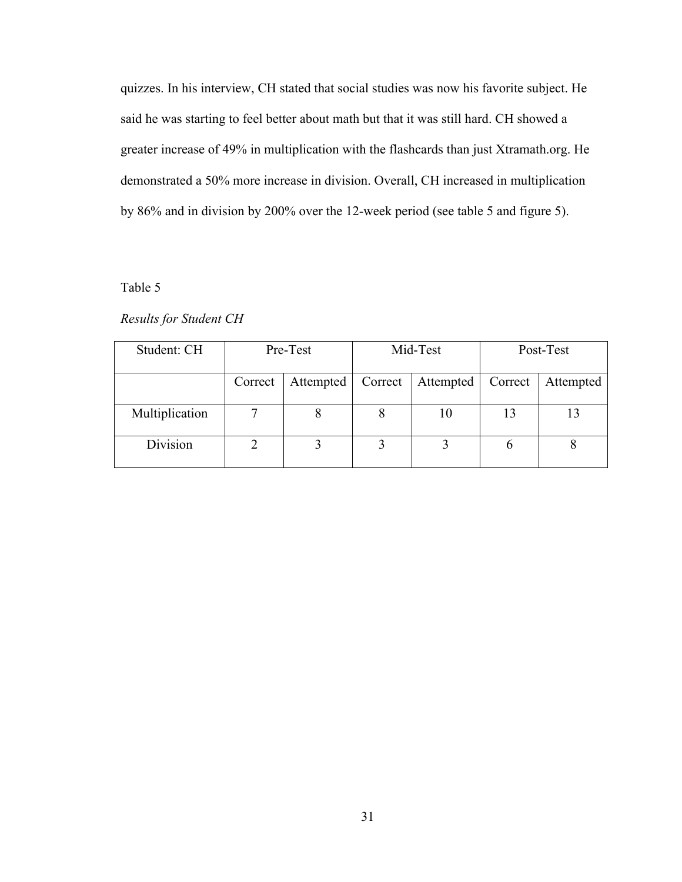quizzes. In his interview, CH stated that social studies was now his favorite subject. He said he was starting to feel better about math but that it was still hard. CH showed a greater increase of 49% in multiplication with the flashcards than just Xtramath.org. He demonstrated a 50% more increase in division. Overall, CH increased in multiplication by 86% and in division by 200% over the 12-week period (see table 5 and figure 5).

#### Table 5

#### *Results for Student CH*

| Student: CH    | Pre-Test |           | Mid-Test |           | Post-Test |           |
|----------------|----------|-----------|----------|-----------|-----------|-----------|
|                | Correct  | Attempted | Correct  | Attempted | Correct   | Attempted |
| Multiplication |          |           | 8        | 10        | 13        |           |
| Division       |          |           |          |           |           |           |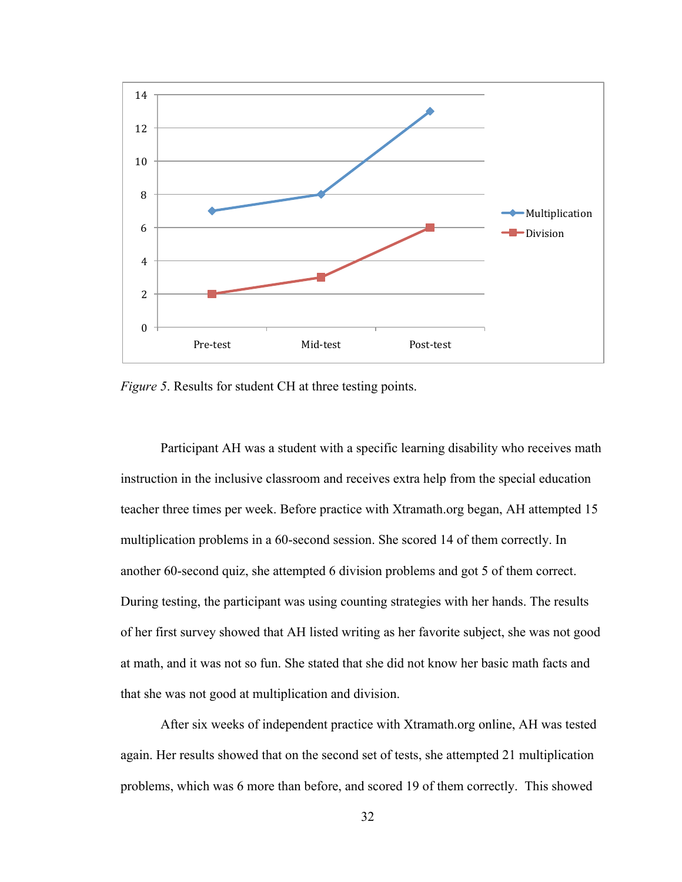

*Figure 5.* Results for student CH at three testing points.

Participant AH was a student with a specific learning disability who receives math instruction in the inclusive classroom and receives extra help from the special education teacher three times per week. Before practice with Xtramath.org began, AH attempted 15 multiplication problems in a 60-second session. She scored 14 of them correctly. In another 60-second quiz, she attempted 6 division problems and got 5 of them correct. During testing, the participant was using counting strategies with her hands. The results of her first survey showed that AH listed writing as her favorite subject, she was not good at math, and it was not so fun. She stated that she did not know her basic math facts and that she was not good at multiplication and division.

After six weeks of independent practice with Xtramath.org online, AH was tested again. Her results showed that on the second set of tests, she attempted 21 multiplication problems, which was 6 more than before, and scored 19 of them correctly. This showed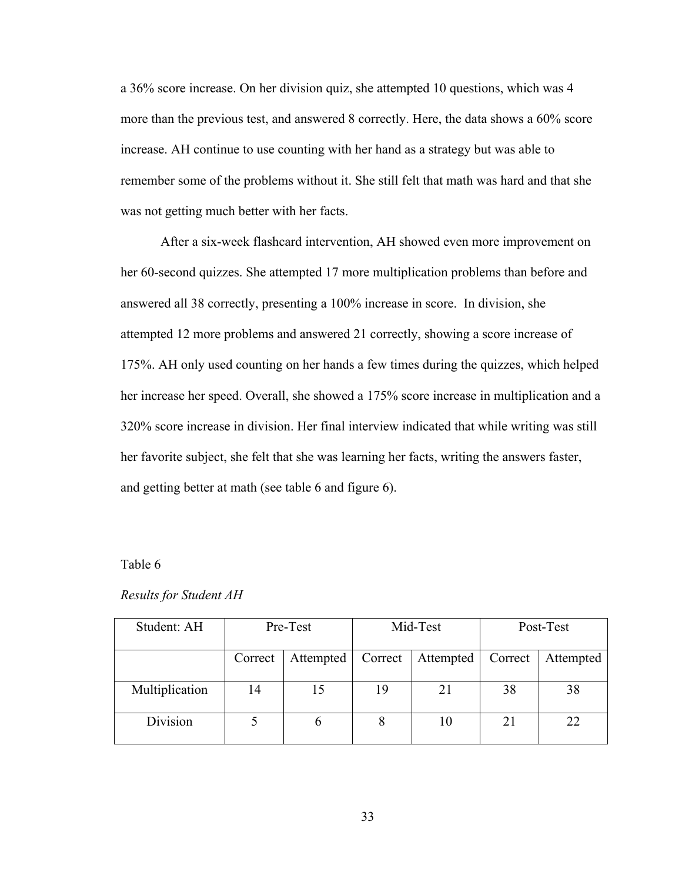a 36% score increase. On her division quiz, she attempted 10 questions, which was 4 more than the previous test, and answered 8 correctly. Here, the data shows a 60% score increase. AH continue to use counting with her hand as a strategy but was able to remember some of the problems without it. She still felt that math was hard and that she was not getting much better with her facts.

After a six-week flashcard intervention, AH showed even more improvement on her 60-second quizzes. She attempted 17 more multiplication problems than before and answered all 38 correctly, presenting a 100% increase in score. In division, she attempted 12 more problems and answered 21 correctly, showing a score increase of 175%. AH only used counting on her hands a few times during the quizzes, which helped her increase her speed. Overall, she showed a 175% score increase in multiplication and a 320% score increase in division. Her final interview indicated that while writing was still her favorite subject, she felt that she was learning her facts, writing the answers faster, and getting better at math (see table 6 and figure 6).

#### Table 6

|  | <b>Results for Student AH</b> |
|--|-------------------------------|
|--|-------------------------------|

| Student: AH    |         | Pre-Test      |         | Mid-Test<br>Post-Test |         |           |
|----------------|---------|---------------|---------|-----------------------|---------|-----------|
|                | Correct | Attempted     | Correct | Attempted             | Correct | Attempted |
| Multiplication | 14      | 15            | 19      | 21                    | 38      | 38        |
| Division       |         | $\mathfrak b$ | 8       | 10                    | 21      | 22        |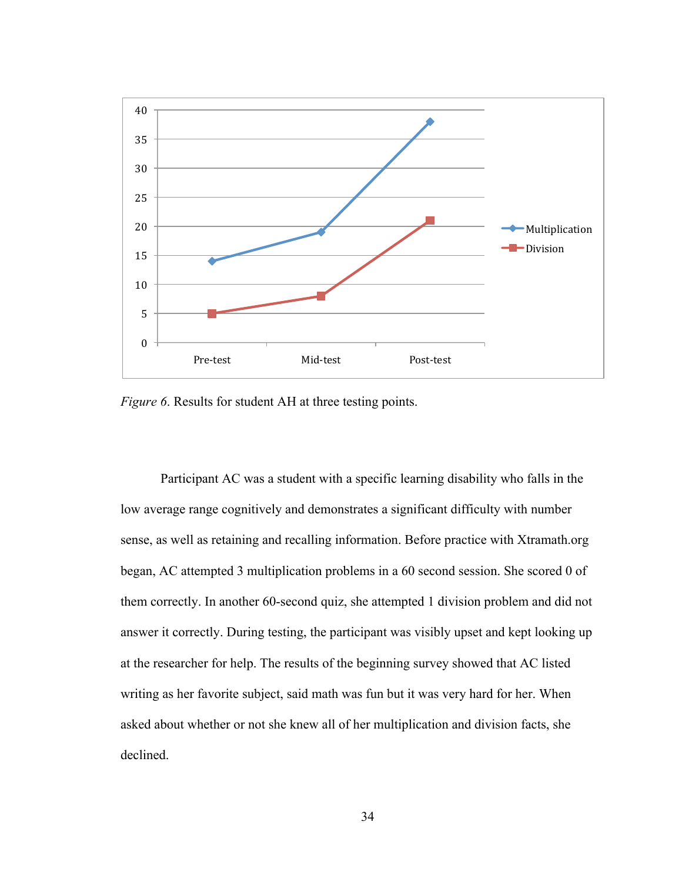

*Figure 6*. Results for student AH at three testing points.

Participant AC was a student with a specific learning disability who falls in the low average range cognitively and demonstrates a significant difficulty with number sense, as well as retaining and recalling information. Before practice with Xtramath.org began, AC attempted 3 multiplication problems in a 60 second session. She scored 0 of them correctly. In another 60-second quiz, she attempted 1 division problem and did not answer it correctly. During testing, the participant was visibly upset and kept looking up at the researcher for help. The results of the beginning survey showed that AC listed writing as her favorite subject, said math was fun but it was very hard for her. When asked about whether or not she knew all of her multiplication and division facts, she declined.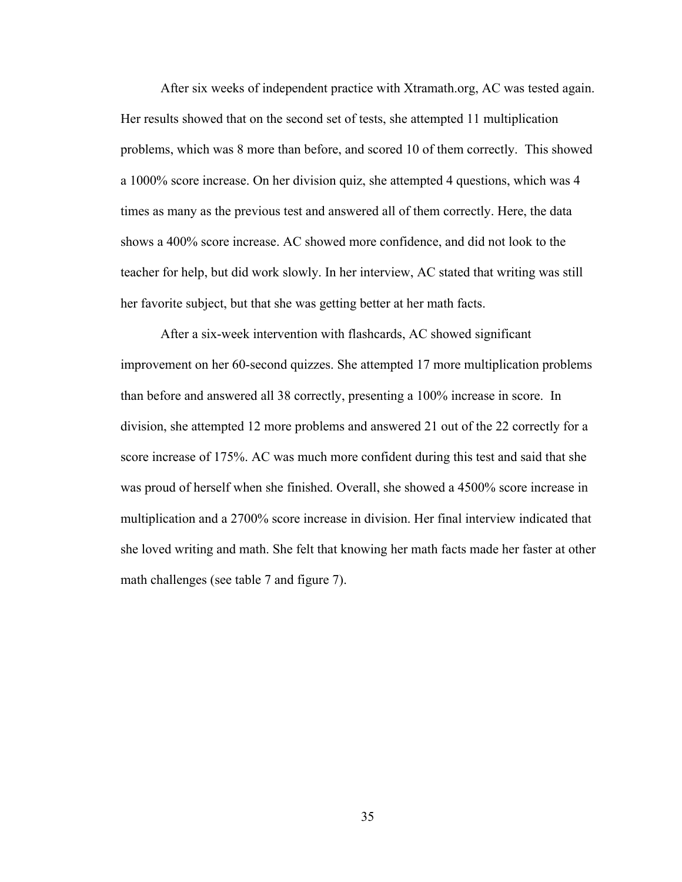After six weeks of independent practice with Xtramath.org, AC was tested again. Her results showed that on the second set of tests, she attempted 11 multiplication problems, which was 8 more than before, and scored 10 of them correctly. This showed a 1000% score increase. On her division quiz, she attempted 4 questions, which was 4 times as many as the previous test and answered all of them correctly. Here, the data shows a 400% score increase. AC showed more confidence, and did not look to the teacher for help, but did work slowly. In her interview, AC stated that writing was still her favorite subject, but that she was getting better at her math facts.

After a six-week intervention with flashcards, AC showed significant improvement on her 60-second quizzes. She attempted 17 more multiplication problems than before and answered all 38 correctly, presenting a 100% increase in score. In division, she attempted 12 more problems and answered 21 out of the 22 correctly for a score increase of 175%. AC was much more confident during this test and said that she was proud of herself when she finished. Overall, she showed a 4500% score increase in multiplication and a 2700% score increase in division. Her final interview indicated that she loved writing and math. She felt that knowing her math facts made her faster at other math challenges (see table 7 and figure 7).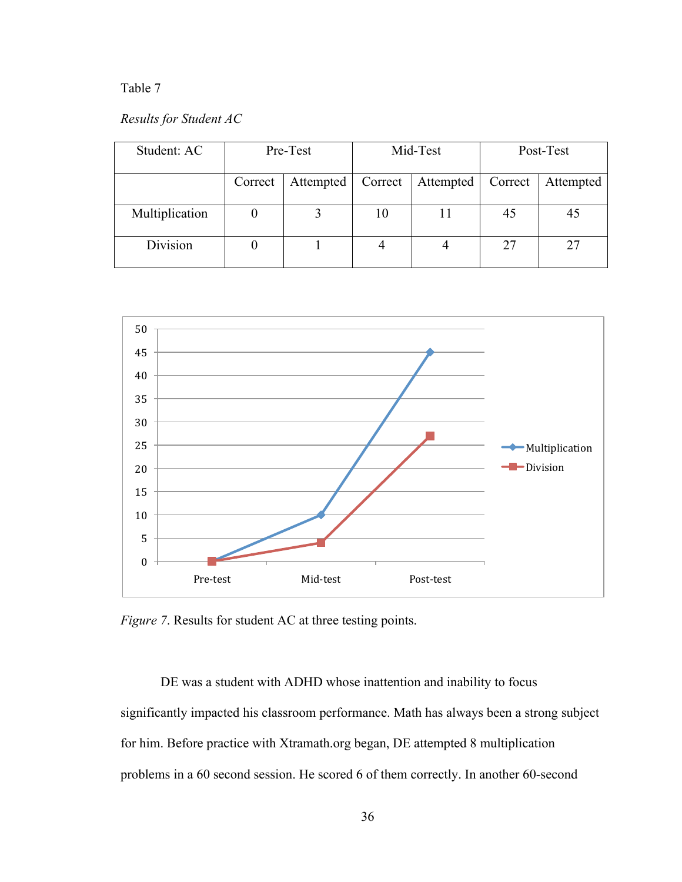### Table 7

### *Results for Student AC*

| Student: AC    |         | Pre-Test  | Mid-Test<br>Post-Test |           |    |           |
|----------------|---------|-----------|-----------------------|-----------|----|-----------|
|                | Correct | Attempted | Correct               | Attempted |    | Attempted |
| Multiplication |         |           | 10                    |           | 45 |           |
| Division       |         |           |                       |           | 27 |           |



*Figure 7*. Results for student AC at three testing points.

DE was a student with ADHD whose inattention and inability to focus significantly impacted his classroom performance. Math has always been a strong subject for him. Before practice with Xtramath.org began, DE attempted 8 multiplication problems in a 60 second session. He scored 6 of them correctly. In another 60-second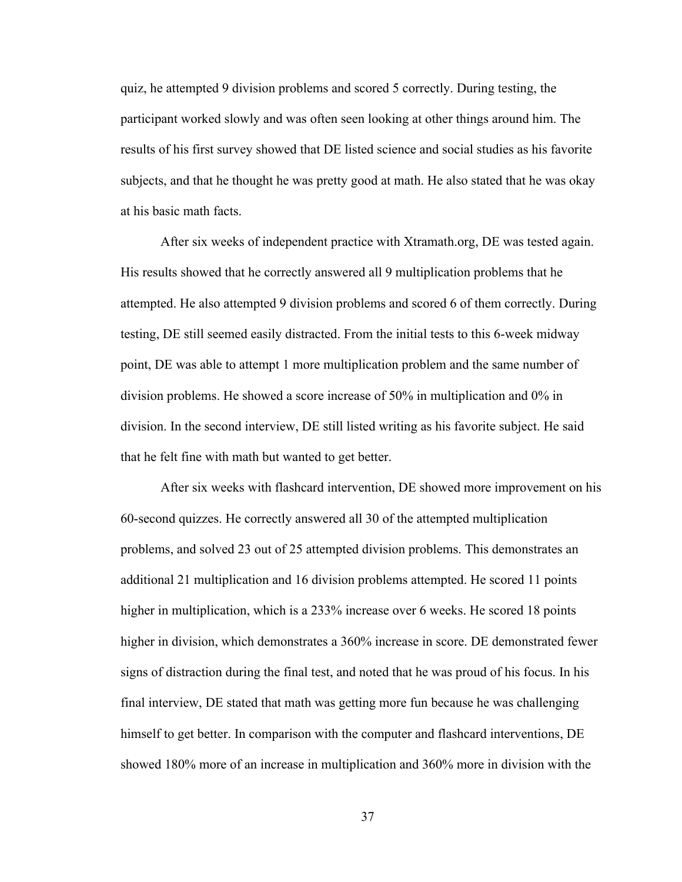quiz, he attempted 9 division problems and scored 5 correctly. During testing, the participant worked slowly and was often seen looking at other things around him. The results of his first survey showed that DE listed science and social studies as his favorite subjects, and that he thought he was pretty good at math. He also stated that he was okay at his basic math facts.

After six weeks of independent practice with Xtramath.org, DE was tested again. His results showed that he correctly answered all 9 multiplication problems that he attempted. He also attempted 9 division problems and scored 6 of them correctly. During testing, DE still seemed easily distracted. From the initial tests to this 6-week midway point, DE was able to attempt 1 more multiplication problem and the same number of division problems. He showed a score increase of 50% in multiplication and 0% in division. In the second interview, DE still listed writing as his favorite subject. He said that he felt fine with math but wanted to get better.

After six weeks with flashcard intervention, DE showed more improvement on his 60-second quizzes. He correctly answered all 30 of the attempted multiplication problems, and solved 23 out of 25 attempted division problems. This demonstrates an additional 21 multiplication and 16 division problems attempted. He scored 11 points higher in multiplication, which is a 233% increase over 6 weeks. He scored 18 points higher in division, which demonstrates a 360% increase in score. DE demonstrated fewer signs of distraction during the final test, and noted that he was proud of his focus. In his final interview, DE stated that math was getting more fun because he was challenging himself to get better. In comparison with the computer and flashcard interventions, DE showed 180% more of an increase in multiplication and 360% more in division with the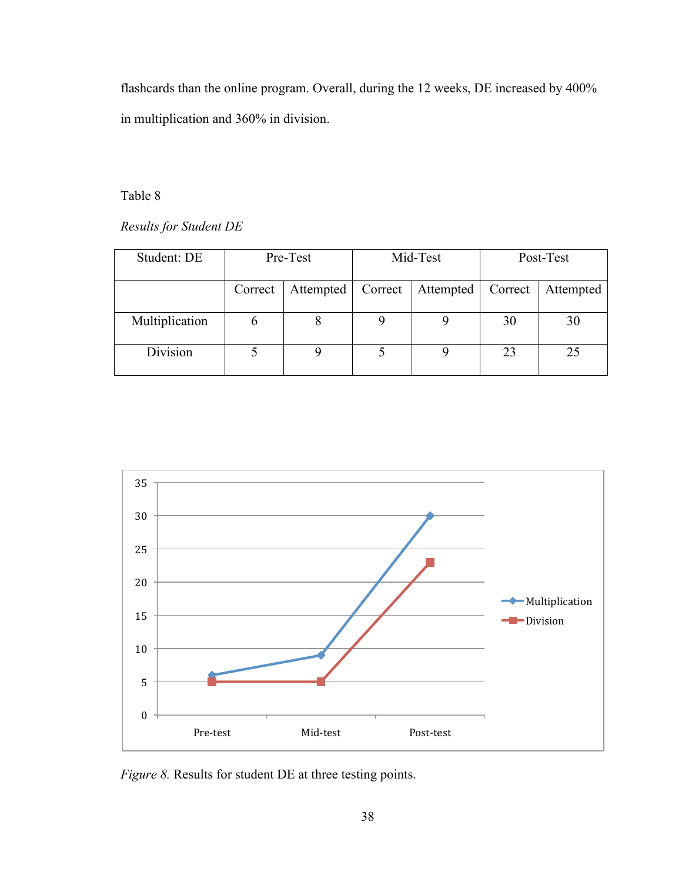flashcards than the online program. Overall, during the 12 weeks, DE increased by 400% in multiplication and 360% in division.

Table 8

*Results for Student DE*

| Student: DE    |         | Pre-Test  |         | Mid-Test<br>Post-Test |         |           |  |
|----------------|---------|-----------|---------|-----------------------|---------|-----------|--|
|                | Correct | Attempted | Correct | Attempted             | Correct | Attempted |  |
| Multiplication | O       | 8         |         |                       | 30      | 30        |  |
| Division       |         |           |         |                       | 23      | 25        |  |



*Figure 8.* Results for student DE at three testing points.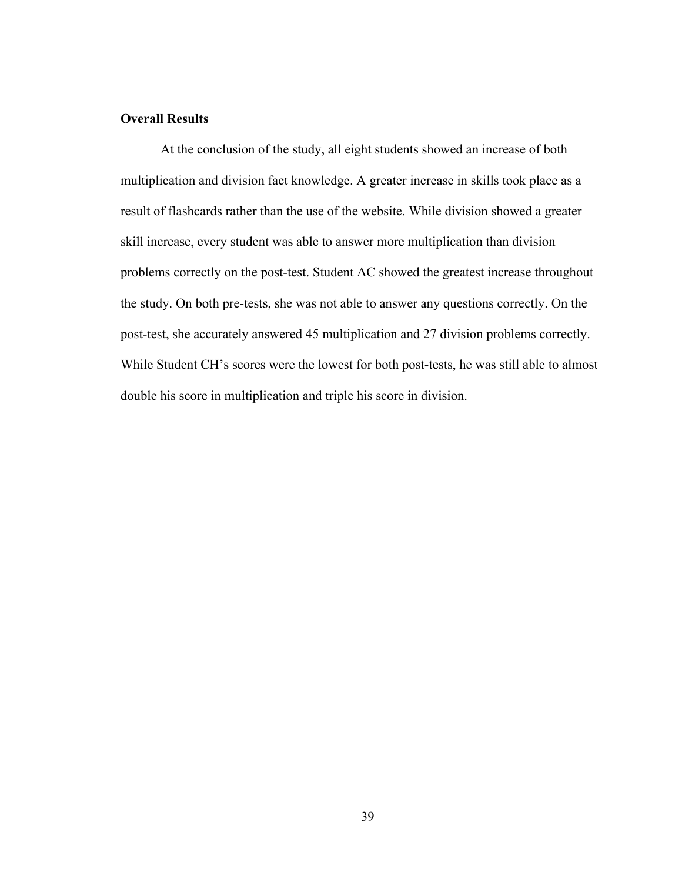### **Overall Results**

At the conclusion of the study, all eight students showed an increase of both multiplication and division fact knowledge. A greater increase in skills took place as a result of flashcards rather than the use of the website. While division showed a greater skill increase, every student was able to answer more multiplication than division problems correctly on the post-test. Student AC showed the greatest increase throughout the study. On both pre-tests, she was not able to answer any questions correctly. On the post-test, she accurately answered 45 multiplication and 27 division problems correctly. While Student CH's scores were the lowest for both post-tests, he was still able to almost double his score in multiplication and triple his score in division.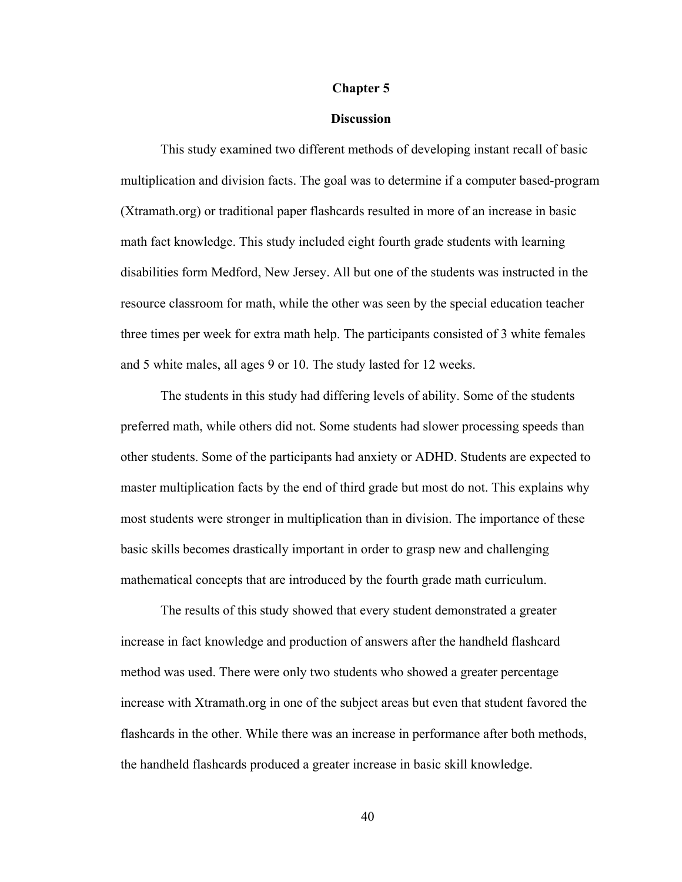#### **Chapter 5**

#### **Discussion**

This study examined two different methods of developing instant recall of basic multiplication and division facts. The goal was to determine if a computer based-program (Xtramath.org) or traditional paper flashcards resulted in more of an increase in basic math fact knowledge. This study included eight fourth grade students with learning disabilities form Medford, New Jersey. All but one of the students was instructed in the resource classroom for math, while the other was seen by the special education teacher three times per week for extra math help. The participants consisted of 3 white females and 5 white males, all ages 9 or 10. The study lasted for 12 weeks.

The students in this study had differing levels of ability. Some of the students preferred math, while others did not. Some students had slower processing speeds than other students. Some of the participants had anxiety or ADHD. Students are expected to master multiplication facts by the end of third grade but most do not. This explains why most students were stronger in multiplication than in division. The importance of these basic skills becomes drastically important in order to grasp new and challenging mathematical concepts that are introduced by the fourth grade math curriculum.

The results of this study showed that every student demonstrated a greater increase in fact knowledge and production of answers after the handheld flashcard method was used. There were only two students who showed a greater percentage increase with Xtramath.org in one of the subject areas but even that student favored the flashcards in the other. While there was an increase in performance after both methods, the handheld flashcards produced a greater increase in basic skill knowledge.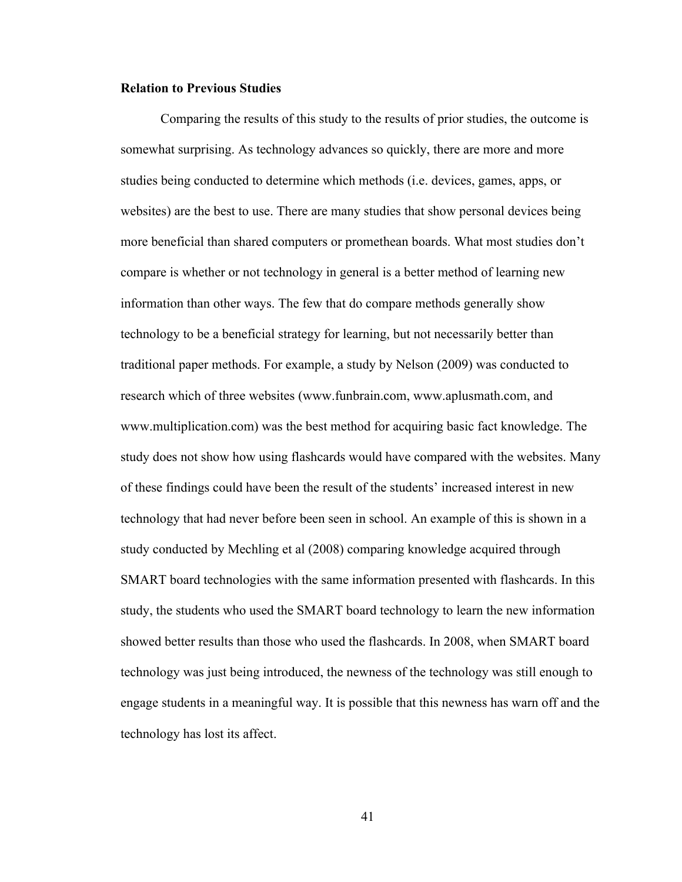#### **Relation to Previous Studies**

Comparing the results of this study to the results of prior studies, the outcome is somewhat surprising. As technology advances so quickly, there are more and more studies being conducted to determine which methods (i.e. devices, games, apps, or websites) are the best to use. There are many studies that show personal devices being more beneficial than shared computers or promethean boards. What most studies don't compare is whether or not technology in general is a better method of learning new information than other ways. The few that do compare methods generally show technology to be a beneficial strategy for learning, but not necessarily better than traditional paper methods. For example, a study by Nelson (2009) was conducted to research which of three websites (www.funbrain.com, www.aplusmath.com, and www.multiplication.com) was the best method for acquiring basic fact knowledge. The study does not show how using flashcards would have compared with the websites. Many of these findings could have been the result of the students' increased interest in new technology that had never before been seen in school. An example of this is shown in a study conducted by Mechling et al (2008) comparing knowledge acquired through SMART board technologies with the same information presented with flashcards. In this study, the students who used the SMART board technology to learn the new information showed better results than those who used the flashcards. In 2008, when SMART board technology was just being introduced, the newness of the technology was still enough to engage students in a meaningful way. It is possible that this newness has warn off and the technology has lost its affect.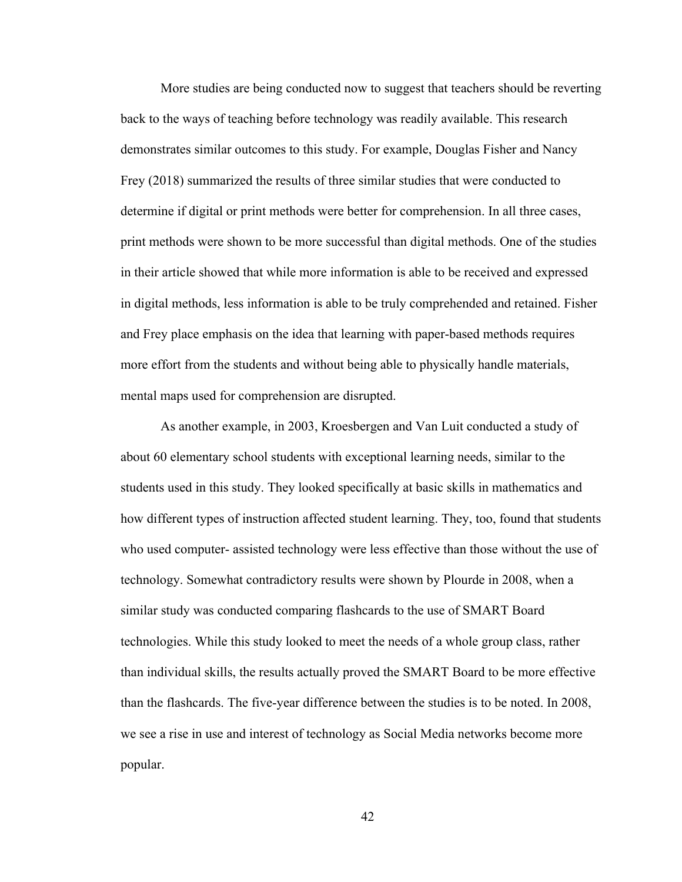More studies are being conducted now to suggest that teachers should be reverting back to the ways of teaching before technology was readily available. This research demonstrates similar outcomes to this study. For example, Douglas Fisher and Nancy Frey (2018) summarized the results of three similar studies that were conducted to determine if digital or print methods were better for comprehension. In all three cases, print methods were shown to be more successful than digital methods. One of the studies in their article showed that while more information is able to be received and expressed in digital methods, less information is able to be truly comprehended and retained. Fisher and Frey place emphasis on the idea that learning with paper-based methods requires more effort from the students and without being able to physically handle materials, mental maps used for comprehension are disrupted.

As another example, in 2003, Kroesbergen and Van Luit conducted a study of about 60 elementary school students with exceptional learning needs, similar to the students used in this study. They looked specifically at basic skills in mathematics and how different types of instruction affected student learning. They, too, found that students who used computer- assisted technology were less effective than those without the use of technology. Somewhat contradictory results were shown by Plourde in 2008, when a similar study was conducted comparing flashcards to the use of SMART Board technologies. While this study looked to meet the needs of a whole group class, rather than individual skills, the results actually proved the SMART Board to be more effective than the flashcards. The five-year difference between the studies is to be noted. In 2008, we see a rise in use and interest of technology as Social Media networks become more popular.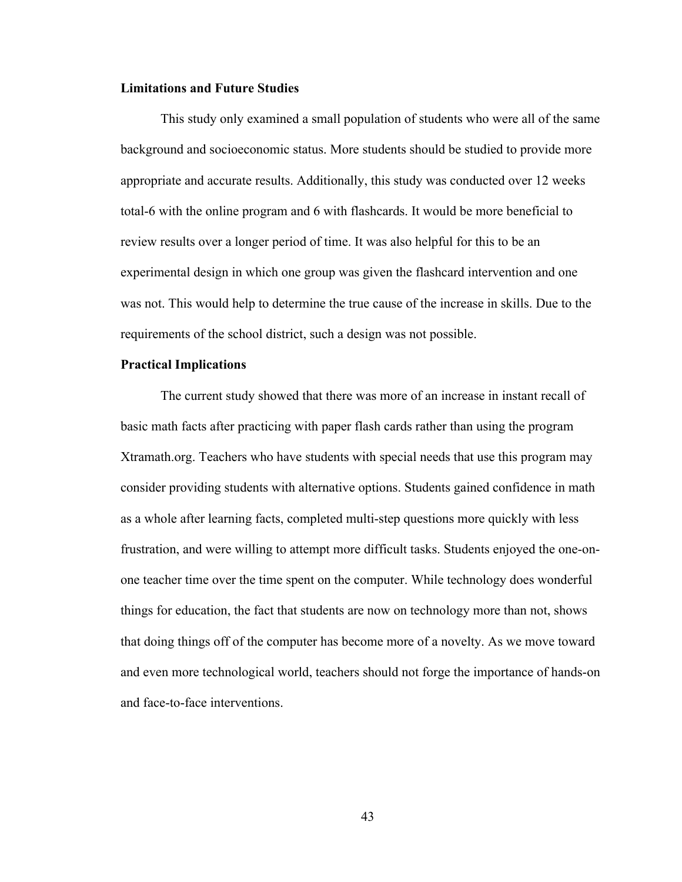#### **Limitations and Future Studies**

This study only examined a small population of students who were all of the same background and socioeconomic status. More students should be studied to provide more appropriate and accurate results. Additionally, this study was conducted over 12 weeks total-6 with the online program and 6 with flashcards. It would be more beneficial to review results over a longer period of time. It was also helpful for this to be an experimental design in which one group was given the flashcard intervention and one was not. This would help to determine the true cause of the increase in skills. Due to the requirements of the school district, such a design was not possible.

#### **Practical Implications**

The current study showed that there was more of an increase in instant recall of basic math facts after practicing with paper flash cards rather than using the program Xtramath.org. Teachers who have students with special needs that use this program may consider providing students with alternative options. Students gained confidence in math as a whole after learning facts, completed multi-step questions more quickly with less frustration, and were willing to attempt more difficult tasks. Students enjoyed the one-onone teacher time over the time spent on the computer. While technology does wonderful things for education, the fact that students are now on technology more than not, shows that doing things off of the computer has become more of a novelty. As we move toward and even more technological world, teachers should not forge the importance of hands-on and face-to-face interventions.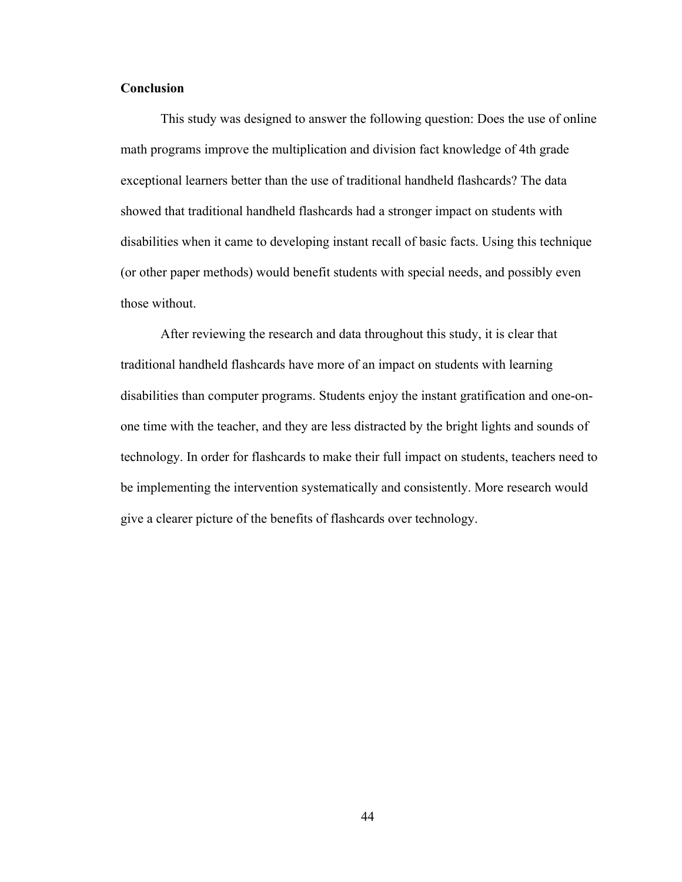#### **Conclusion**

This study was designed to answer the following question: Does the use of online math programs improve the multiplication and division fact knowledge of 4th grade exceptional learners better than the use of traditional handheld flashcards? The data showed that traditional handheld flashcards had a stronger impact on students with disabilities when it came to developing instant recall of basic facts. Using this technique (or other paper methods) would benefit students with special needs, and possibly even those without.

After reviewing the research and data throughout this study, it is clear that traditional handheld flashcards have more of an impact on students with learning disabilities than computer programs. Students enjoy the instant gratification and one-onone time with the teacher, and they are less distracted by the bright lights and sounds of technology. In order for flashcards to make their full impact on students, teachers need to be implementing the intervention systematically and consistently. More research would give a clearer picture of the benefits of flashcards over technology.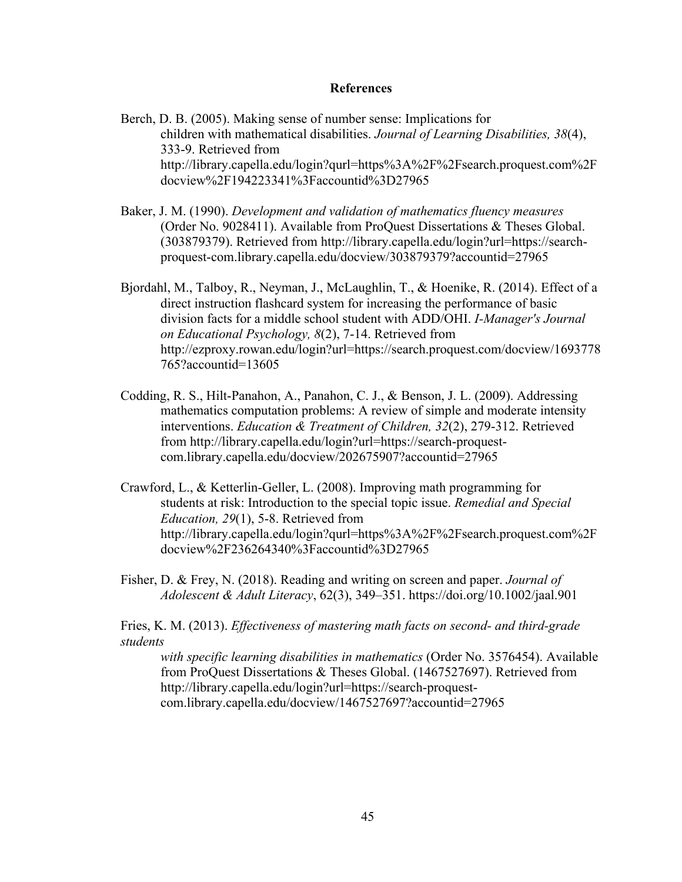#### **References**

Berch, D. B. (2005). Making sense of number sense: Implications for children with mathematical disabilities. *Journal of Learning Disabilities, 38*(4), 333-9. Retrieved from http://library.capella.edu/login?qurl=https%3A%2F%2Fsearch.proquest.com%2F docview%2F194223341%3Faccountid%3D27965

- Baker, J. M. (1990). *Development and validation of mathematics fluency measures*  (Order No. 9028411). Available from ProQuest Dissertations & Theses Global. (303879379). Retrieved from http://library.capella.edu/login?url=https://searchproquest-com.library.capella.edu/docview/303879379?accountid=27965
- Bjordahl, M., Talboy, R., Neyman, J., McLaughlin, T., & Hoenike, R. (2014). Effect of a direct instruction flashcard system for increasing the performance of basic division facts for a middle school student with ADD/OHI. *I-Manager's Journal on Educational Psychology, 8*(2), 7-14. Retrieved from http://ezproxy.rowan.edu/login?url=https://search.proquest.com/docview/1693778 765?accountid=13605
- Codding, R. S., Hilt-Panahon, A., Panahon, C. J., & Benson, J. L. (2009). Addressing mathematics computation problems: A review of simple and moderate intensity interventions. *Education & Treatment of Children, 32*(2), 279-312. Retrieved from http://library.capella.edu/login?url=https://search-proquestcom.library.capella.edu/docview/202675907?accountid=27965
- Crawford, L., & Ketterlin-Geller, L. (2008). Improving math programming for students at risk: Introduction to the special topic issue. *Remedial and Special Education, 29*(1), 5-8. Retrieved from http://library.capella.edu/login?qurl=https%3A%2F%2Fsearch.proquest.com%2F docview%2F236264340%3Faccountid%3D27965
- Fisher, D. & Frey, N. (2018). Reading and writing on screen and paper. *Journal of Adolescent & Adult Literacy*, 62(3), 349–351. https://doi.org/10.1002/jaal.901

Fries, K. M. (2013). *Effectiveness of mastering math facts on second- and third-grade students* 

*with specific learning disabilities in mathematics* (Order No. 3576454). Available from ProQuest Dissertations & Theses Global. (1467527697). Retrieved from http://library.capella.edu/login?url=https://search-proquestcom.library.capella.edu/docview/1467527697?accountid=27965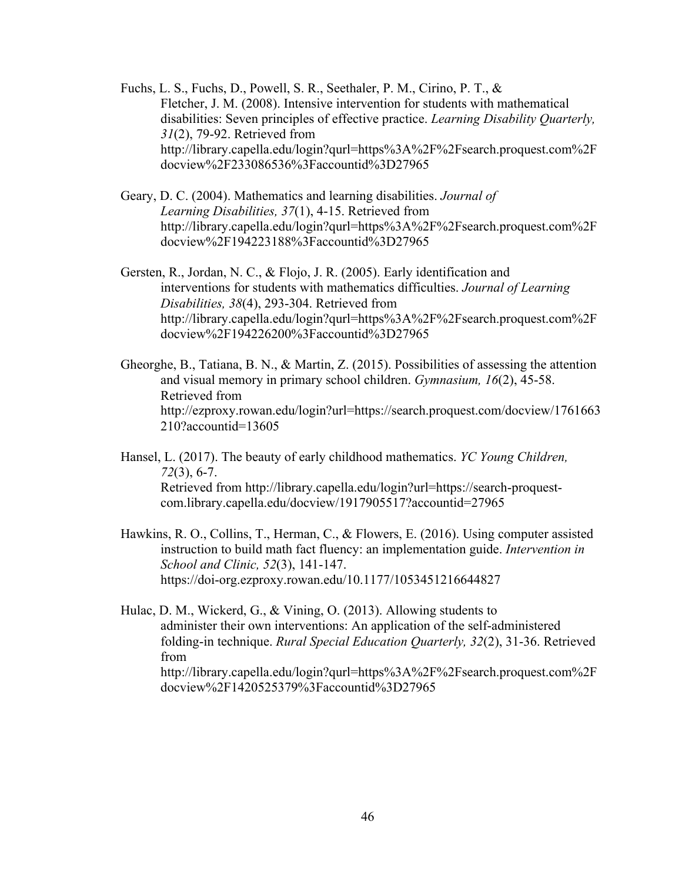Fuchs, L. S., Fuchs, D., Powell, S. R., Seethaler, P. M., Cirino, P. T., & Fletcher, J. M. (2008). Intensive intervention for students with mathematical disabilities: Seven principles of effective practice. *Learning Disability Quarterly, 31*(2), 79-92. Retrieved from http://library.capella.edu/login?qurl=https%3A%2F%2Fsearch.proquest.com%2F docview%2F233086536%3Faccountid%3D27965

- Geary, D. C. (2004). Mathematics and learning disabilities. *Journal of Learning Disabilities, 37*(1), 4-15. Retrieved from http://library.capella.edu/login?qurl=https%3A%2F%2Fsearch.proquest.com%2F docview%2F194223188%3Faccountid%3D27965
- Gersten, R., Jordan, N. C., & Flojo, J. R. (2005). Early identification and interventions for students with mathematics difficulties. *Journal of Learning Disabilities, 38*(4), 293-304. Retrieved from http://library.capella.edu/login?qurl=https%3A%2F%2Fsearch.proquest.com%2F docview%2F194226200%3Faccountid%3D27965
- Gheorghe, B., Tatiana, B. N., & Martin, Z. (2015). Possibilities of assessing the attention and visual memory in primary school children. *Gymnasium, 16*(2), 45-58. Retrieved from http://ezproxy.rowan.edu/login?url=https://search.proquest.com/docview/1761663 210?accountid=13605
- Hansel, L. (2017). The beauty of early childhood mathematics. *YC Young Children, 72*(3), 6-7. Retrieved from http://library.capella.edu/login?url=https://search-proquestcom.library.capella.edu/docview/1917905517?accountid=27965
- Hawkins, R. O., Collins, T., Herman, C., & Flowers, E. (2016). Using computer assisted instruction to build math fact fluency: an implementation guide. *Intervention in School and Clinic, 52*(3), 141-147. https://doi-org.ezproxy.rowan.edu/10.1177/1053451216644827
- Hulac, D. M., Wickerd, G., & Vining, O. (2013). Allowing students to administer their own interventions: An application of the self-administered folding-in technique. *Rural Special Education Quarterly, 32*(2), 31-36. Retrieved from http://library.capella.edu/login?qurl=https%3A%2F%2Fsearch.proquest.com%2F docview%2F1420525379%3Faccountid%3D27965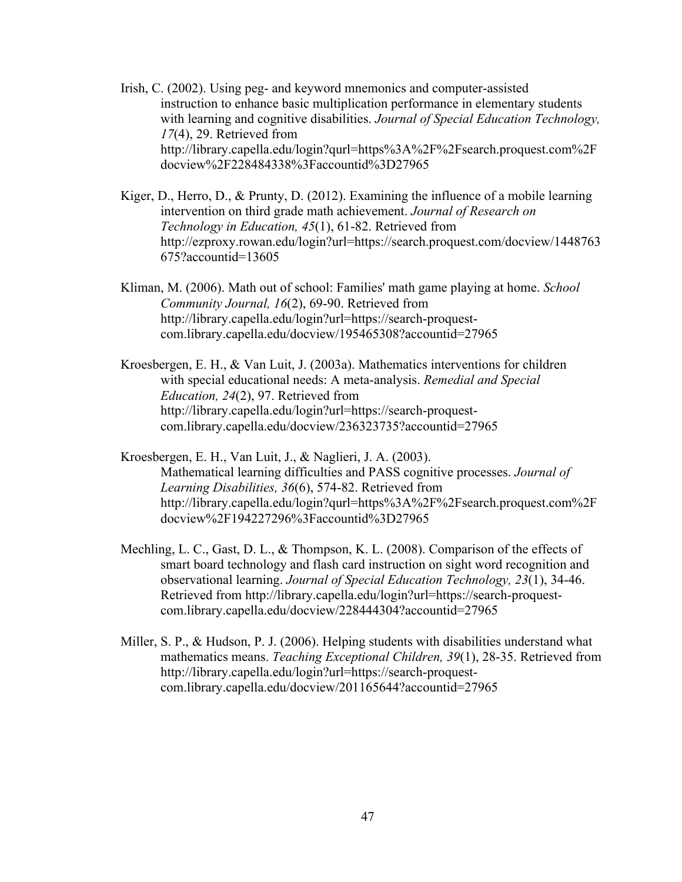- Irish, C. (2002). Using peg- and keyword mnemonics and computer-assisted instruction to enhance basic multiplication performance in elementary students with learning and cognitive disabilities. *Journal of Special Education Technology, 17*(4), 29. Retrieved from http://library.capella.edu/login?qurl=https%3A%2F%2Fsearch.proquest.com%2F docview%2F228484338%3Faccountid%3D27965
- Kiger, D., Herro, D., & Prunty, D. (2012). Examining the influence of a mobile learning intervention on third grade math achievement. *Journal of Research on Technology in Education, 45*(1), 61-82. Retrieved from http://ezproxy.rowan.edu/login?url=https://search.proquest.com/docview/1448763 675?accountid=13605
- Kliman, M. (2006). Math out of school: Families' math game playing at home. *School Community Journal, 16*(2), 69-90. Retrieved from http://library.capella.edu/login?url=https://search-proquestcom.library.capella.edu/docview/195465308?accountid=27965
- Kroesbergen, E. H., & Van Luit, J. (2003a). Mathematics interventions for children with special educational needs: A meta-analysis. *Remedial and Special Education, 24*(2), 97. Retrieved from http://library.capella.edu/login?url=https://search-proquestcom.library.capella.edu/docview/236323735?accountid=27965
- Kroesbergen, E. H., Van Luit, J., & Naglieri, J. A. (2003). Mathematical learning difficulties and PASS cognitive processes. *Journal of Learning Disabilities, 36*(6), 574-82. Retrieved from http://library.capella.edu/login?qurl=https%3A%2F%2Fsearch.proquest.com%2F docview%2F194227296%3Faccountid%3D27965
- Mechling, L. C., Gast, D. L., & Thompson, K. L. (2008). Comparison of the effects of smart board technology and flash card instruction on sight word recognition and observational learning. *Journal of Special Education Technology, 23*(1), 34-46. Retrieved from http://library.capella.edu/login?url=https://search-proquestcom.library.capella.edu/docview/228444304?accountid=27965
- Miller, S. P., & Hudson, P. J. (2006). Helping students with disabilities understand what mathematics means. *Teaching Exceptional Children, 39*(1), 28-35. Retrieved from http://library.capella.edu/login?url=https://search-proquestcom.library.capella.edu/docview/201165644?accountid=27965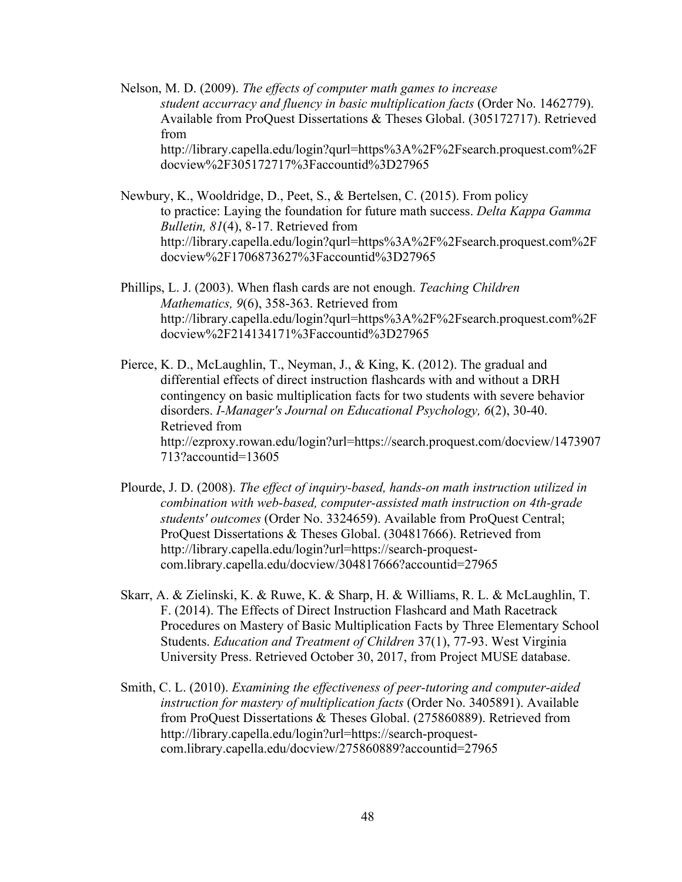Nelson, M. D. (2009). *The effects of computer math games to increase student accurracy and fluency in basic multiplication facts* (Order No. 1462779). Available from ProQuest Dissertations & Theses Global. (305172717). Retrieved from http://library.capella.edu/login?qurl=https%3A%2F%2Fsearch.proquest.com%2F docview%2F305172717%3Faccountid%3D27965

Newbury, K., Wooldridge, D., Peet, S., & Bertelsen, C. (2015). From policy to practice: Laying the foundation for future math success. *Delta Kappa Gamma Bulletin, 81*(4), 8-17. Retrieved from http://library.capella.edu/login?qurl=https%3A%2F%2Fsearch.proquest.com%2F docview%2F1706873627%3Faccountid%3D27965

Phillips, L. J. (2003). When flash cards are not enough. *Teaching Children Mathematics, 9*(6), 358-363. Retrieved from http://library.capella.edu/login?qurl=https%3A%2F%2Fsearch.proquest.com%2F docview%2F214134171%3Faccountid%3D27965

Pierce, K. D., McLaughlin, T., Neyman, J., & King, K. (2012). The gradual and differential effects of direct instruction flashcards with and without a DRH contingency on basic multiplication facts for two students with severe behavior disorders. *I-Manager's Journal on Educational Psychology, 6*(2), 30-40. Retrieved from http://ezproxy.rowan.edu/login?url=https://search.proquest.com/docview/1473907 713?accountid=13605

Plourde, J. D. (2008). *The effect of inquiry-based, hands-on math instruction utilized in combination with web-based, computer-assisted math instruction on 4th-grade students' outcomes* (Order No. 3324659). Available from ProQuest Central; ProQuest Dissertations & Theses Global. (304817666). Retrieved from http://library.capella.edu/login?url=https://search-proquestcom.library.capella.edu/docview/304817666?accountid=27965

Skarr, A. & Zielinski, K. & Ruwe, K. & Sharp, H. & Williams, R. L. & McLaughlin, T. F. (2014). The Effects of Direct Instruction Flashcard and Math Racetrack Procedures on Mastery of Basic Multiplication Facts by Three Elementary School Students. *Education and Treatment of Children* 37(1), 77-93. West Virginia University Press. Retrieved October 30, 2017, from Project MUSE database.

Smith, C. L. (2010). *Examining the effectiveness of peer-tutoring and computer-aided instruction for mastery of multiplication facts* (Order No. 3405891). Available from ProQuest Dissertations & Theses Global. (275860889). Retrieved from http://library.capella.edu/login?url=https://search-proquestcom.library.capella.edu/docview/275860889?accountid=27965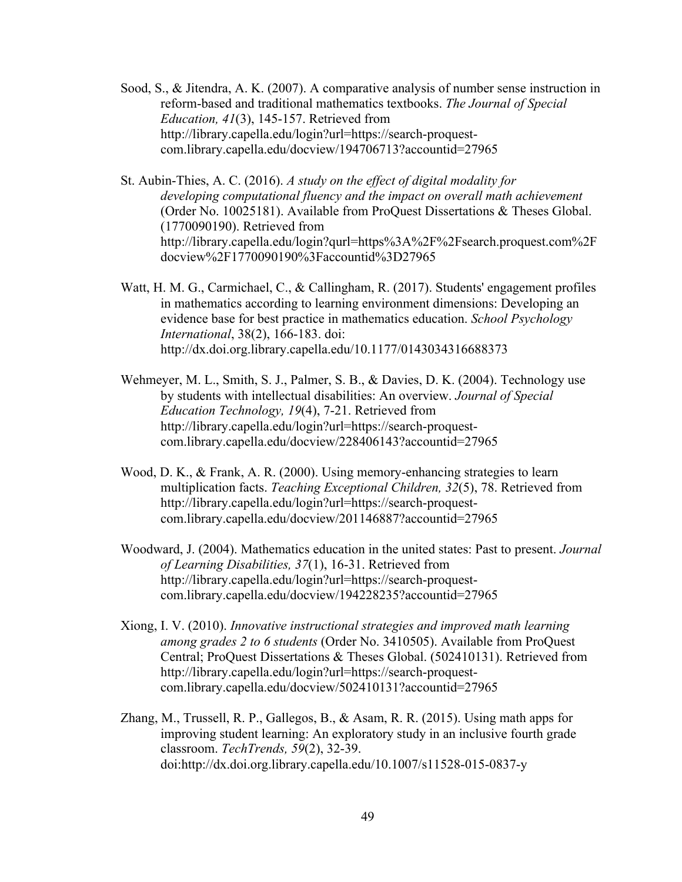- Sood, S., & Jitendra, A. K. (2007). A comparative analysis of number sense instruction in reform-based and traditional mathematics textbooks. *The Journal of Special Education, 41*(3), 145-157. Retrieved from http://library.capella.edu/login?url=https://search-proquestcom.library.capella.edu/docview/194706713?accountid=27965
- St. Aubin-Thies, A. C. (2016). *A study on the effect of digital modality for developing computational fluency and the impact on overall math achievement*  (Order No. 10025181). Available from ProQuest Dissertations & Theses Global. (1770090190). Retrieved from http://library.capella.edu/login?qurl=https%3A%2F%2Fsearch.proquest.com%2F docview%2F1770090190%3Faccountid%3D27965
- Watt, H. M. G., Carmichael, C., & Callingham, R. (2017). Students' engagement profiles in mathematics according to learning environment dimensions: Developing an evidence base for best practice in mathematics education. *School Psychology International*, 38(2), 166-183. doi: http://dx.doi.org.library.capella.edu/10.1177/0143034316688373
- Wehmeyer, M. L., Smith, S. J., Palmer, S. B., & Davies, D. K. (2004). Technology use by students with intellectual disabilities: An overview. *Journal of Special Education Technology, 19*(4), 7-21. Retrieved from http://library.capella.edu/login?url=https://search-proquestcom.library.capella.edu/docview/228406143?accountid=27965
- Wood, D. K., & Frank, A. R. (2000). Using memory-enhancing strategies to learn multiplication facts. *Teaching Exceptional Children, 32*(5), 78. Retrieved from http://library.capella.edu/login?url=https://search-proquestcom.library.capella.edu/docview/201146887?accountid=27965
- Woodward, J. (2004). Mathematics education in the united states: Past to present. *Journal of Learning Disabilities, 37*(1), 16-31. Retrieved from http://library.capella.edu/login?url=https://search-proquestcom.library.capella.edu/docview/194228235?accountid=27965
- Xiong, I. V. (2010). *Innovative instructional strategies and improved math learning among grades 2 to 6 students* (Order No. 3410505). Available from ProQuest Central; ProQuest Dissertations & Theses Global. (502410131). Retrieved from http://library.capella.edu/login?url=https://search-proquestcom.library.capella.edu/docview/502410131?accountid=27965
- Zhang, M., Trussell, R. P., Gallegos, B., & Asam, R. R. (2015). Using math apps for improving student learning: An exploratory study in an inclusive fourth grade classroom. *TechTrends, 59*(2), 32-39. doi:http://dx.doi.org.library.capella.edu/10.1007/s11528-015-0837-y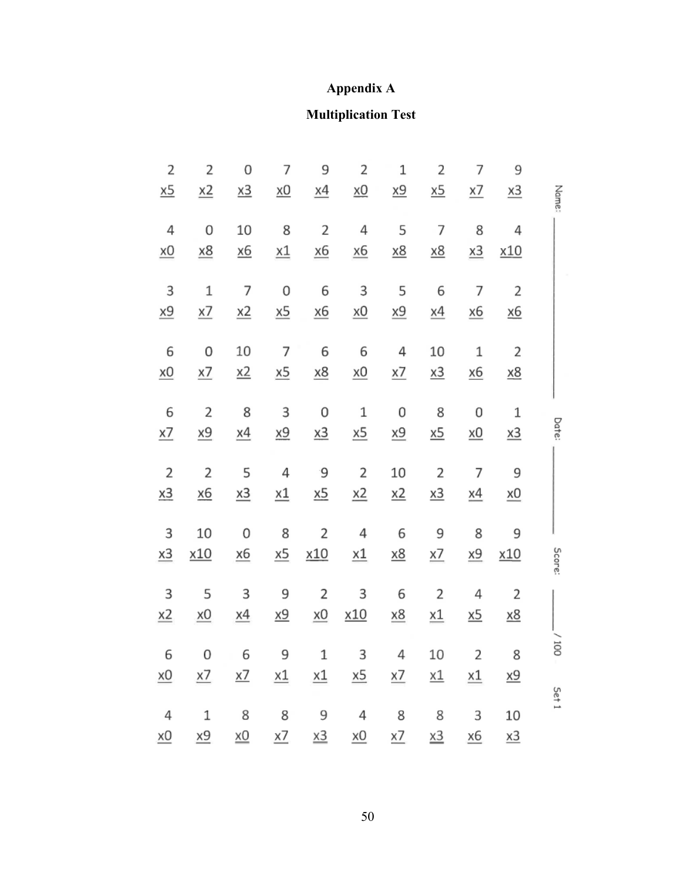## **Appendix A**

## **Multiplication Test**

|        | 9                | 7                | 2                | 1                | 2                | 9                | 7                | 0                | 2                | $\overline{2}$   |
|--------|------------------|------------------|------------------|------------------|------------------|------------------|------------------|------------------|------------------|------------------|
| Name:  | $\underline{x3}$ | <u>x7</u>        | <u>x5</u>        | <u>x9</u>        | <u>x0</u>        | <u>x4</u>        | <u>x0</u>        | $\underline{x3}$ | $\underline{x2}$ | <u>x5</u>        |
|        | 4                | 8                | $\overline{7}$   | 5                | 4                | $\overline{2}$   | 8                | 10               | $\overline{0}$   | $\overline{4}$   |
|        | <u>x10</u>       | $x_3$            | $\underline{x8}$ | <u>x8</u>        | <u>x6</u>        | $\underline{x6}$ | $\underline{x1}$ | <u>x6</u>        | $\underline{x8}$ | $\underline{x0}$ |
|        | $\mathbf{2}$     | 7                | 6                | 5                | 3                | 6                | $\overline{0}$   | $\overline{7}$   | $\mathbf{1}$     | 3                |
|        | <u>x6</u>        | <u>x6</u>        | $\underline{x4}$ | <u>x9</u>        | $\underline{x0}$ | <u>x6</u>        | $\underline{x5}$ | $\underline{x2}$ | $\times$ 7       | <u>x9</u>        |
|        | $\overline{2}$   | $\mathbf 1$      | 10               | 4                | 6                | 6                | $\overline{7}$   | 10               | 0                | 6                |
|        | <u>x8</u>        | $\underline{x6}$ | <u>x3</u>        | <u>x7</u>        | $\underline{x0}$ | $\underline{x8}$ | <u>x5</u>        | <u>x2</u>        | x7               | $\underline{x0}$ |
|        | $\,1\,$          | 0                | 8                | 0                | $\mathbf 1$      | 0                | 3                | 8                | $\overline{2}$   | 6                |
| Date:  | $\underline{x3}$ | $\underline{x}0$ | <u>x5</u>        | <u>x9</u>        | $\underline{x5}$ | $\underline{x3}$ | <u>x9</u>        | <u>x4</u>        | $\underline{x9}$ | <u>x7</u>        |
|        | 9                | $\overline{7}$   | $\overline{2}$   | 10               | $\mathbf 2$      | °9               | 4                | 5                | $\overline{2}$   | $\overline{2}$   |
|        | $x_0$            | <u>x4</u>        | <u>x3</u>        | $\underline{x2}$ | $\underline{x2}$ | $\underline{x5}$ | $\underline{x1}$ | $\underline{x3}$ | <u>x6</u>        | $\underline{x3}$ |
|        | 9                | 8                | 9                | 6                | $\sqrt{4}$       | $\overline{2}$   | 8                | 0                | 10               | 3                |
| Score: | x10              | <u>x9</u>        | <u>x7</u>        | $\underline{x8}$ | $\underline{x1}$ | <u>x10</u>       | $\underline{x5}$ | <u>x6</u>        | x10              | x3               |
|        | $\overline{2}$   | 4                | $\overline{2}$   | 6                | 3                | $\overline{2}$   | 9                | 3                | 5                | 3                |
|        | <u>x8</u>        | <u>x5</u>        | <u>x1</u>        | $\underline{x8}$ | <u>x10</u>       | $\underline{x0}$ | <u>x9</u>        | <u>x4</u>        | $\underline{x0}$ | $\underline{x2}$ |
| 10O    | 8                | $\overline{2}$   | 10               | 4                | 3                | $\mathbf 1$      | 9                | 6                | 0                | 6                |
|        | <u>x9</u>        | <u>x1</u>        | <u>x1</u>        | <u>x7</u>        | $\underline{x5}$ | $\underline{x1}$ | $\underline{x1}$ | <u>x7</u>        | <u>x7</u>        | $\times 0$       |
| Set 1  | 10               | 3                | 8                | 8                | 4                | 9                | 8                | 8                | 1                | $\sqrt{4}$       |
|        | x3               | х6               | x3               | <u>x7</u>        | <u>хО</u>        | x3               | <u>x7</u>        | $\underline{x0}$ | $\underline{x9}$ | x0               |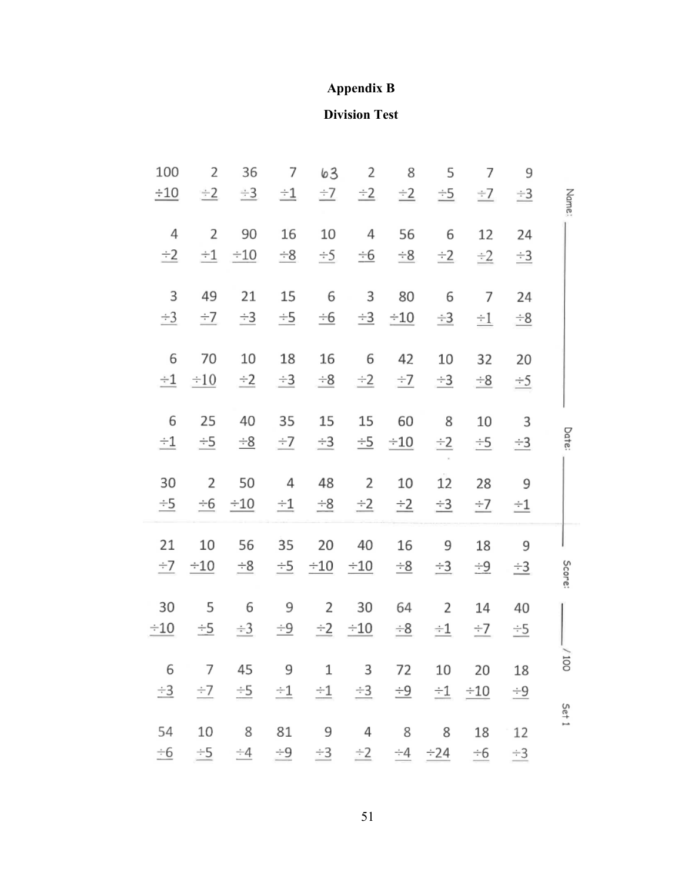## **Appendix B**

## **Division Test**

|        | 9                    | 7         | 5         | 8                | 2                | 63         | 7                  | 36        | 2                  | 100            |
|--------|----------------------|-----------|-----------|------------------|------------------|------------|--------------------|-----------|--------------------|----------------|
| Name:  | $\div 3$             | $\div$ 7  | $\pm$ 5   | $\pm 2$          | $\div 2$         | $-7$       | $\pm 1$            | $\div 3$  | $\div 2$           | $\pm 10$       |
|        | 24                   | 12        | 6         | 56               | 4                | 10         | 16                 | 90        | 2                  | 4              |
|        | $\stackrel{+3}{-}$   | $\div 2$  | $\div 2$  | $\div$ 8         | $\div 6$         | $\div$ 5   | $\frac{-8}{1}$     | $\div 10$ | $\pm 1$            | $\pm 2$        |
|        | 24                   | 7         | 6         | 80               | 3                | 6          | 15                 | 21        | 49                 | 3              |
|        | $\stackrel{+8}{-}$   | $\div 1$  | $\div 3$  | $-10$            | $\frac{-3}{2}$   | $\pm 6$    | $\div$ 5           | $\div 3$  | $\div$ 7           | $\frac{-3}{2}$ |
|        | 20                   | 32        | 10        | 42               | 6                | 16         | 18                 | 10        | 70                 | 6              |
|        | $\stackrel{+5}{-}$   | $-8$      | $\div$ 3  | $\div$ 7         | $\div 2$         | $\div 8$   | $\div 3$           | $\div 2$  | $\div 10$          | $\div 1$       |
|        | 3                    | 10        | 8         | 60               | 15               | 15         | 35                 | 40        | 25                 | 6              |
| Date:  | $\div$ 3             | $\pm$ 5   | $\div 2$  | $\pm 5$ $\pm 10$ |                  | $\div 3$   | $-7$               | $\pm 8$   | $\div$ 5           | $\pm 1$        |
|        | 9                    | 28        | 12        | 10               | 2                | 48         | 4                  | 50        | 2                  | 30             |
|        | $\pm 1$              | $\pm$ 7   | $\div 3$  | $\pm 2$          | $\frac{-2}{2}$   | $\pm$ 8    | $\pm 1$            | $\div 10$ | ÷6                 | $\div$ 5       |
|        | 9                    | 18        | 9         | 16               | 40               | 20         | 35                 | 56        | 10                 | 21             |
| Score: | $\pm$ 3              | $-9$      | $\equiv$  | $\pm$ 8          | $\div 10$        | $\div 10$  | $\div$ 5           | $\div 8$  | $\div 10$          | $\div$ 7       |
|        | 40                   | 14        | 2         | 64               | 30               | 2          | 9                  | 6         | 5                  | 30             |
|        | $\div$ 5             | $-7$      | $-1$      | $\div 8$         | $\pm 2$ $\pm 10$ |            | $\div 9$           | $\div 3$  | $-5$               | $-10$          |
| 001    | 18                   | 20        | 10        | 72               | 3                | 1          | 9                  | 45        | 7                  | 6              |
|        | $\stackrel{+\,9}{-}$ | $\div 10$ | $\pm 1$   | <u>÷9</u>        | $\div 3$         | $-1$       | $-1$               | $\div$ 5  | $\div$ 7           | $-3$           |
| Set 1  | 12                   | 18        | 8         | 8                | 4                | 9          | 81                 | 8         | 10                 | 54             |
|        | $\div 3$             | $\pm 6$   | $\div 24$ | $-4$             | $\equiv$ 2       | $\equiv$ 3 | $\stackrel{+9}{-}$ | $-4$      | $\stackrel{+5}{=}$ | $\frac{-6}{5}$ |
|        |                      |           |           |                  |                  |            |                    |           |                    |                |